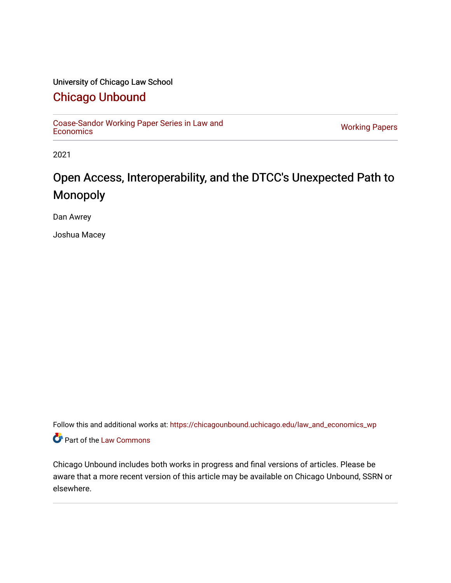#### University of Chicago Law School

### [Chicago Unbound](https://chicagounbound.uchicago.edu/)

[Coase-Sandor Working Paper Series in Law and](https://chicagounbound.uchicago.edu/law_and_economics_wp) [Economics](https://chicagounbound.uchicago.edu/law_and_economics_wp) [Working Papers](https://chicagounbound.uchicago.edu/working_papers) 

2021

### Open Access, Interoperability, and the DTCC's Unexpected Path to Monopoly

Dan Awrey

Joshua Macey

Follow this and additional works at: [https://chicagounbound.uchicago.edu/law\\_and\\_economics\\_wp](https://chicagounbound.uchicago.edu/law_and_economics_wp?utm_source=chicagounbound.uchicago.edu%2Flaw_and_economics_wp%2F15&utm_medium=PDF&utm_campaign=PDFCoverPages)  Part of the [Law Commons](http://network.bepress.com/hgg/discipline/578?utm_source=chicagounbound.uchicago.edu%2Flaw_and_economics_wp%2F15&utm_medium=PDF&utm_campaign=PDFCoverPages)

Chicago Unbound includes both works in progress and final versions of articles. Please be aware that a more recent version of this article may be available on Chicago Unbound, SSRN or elsewhere.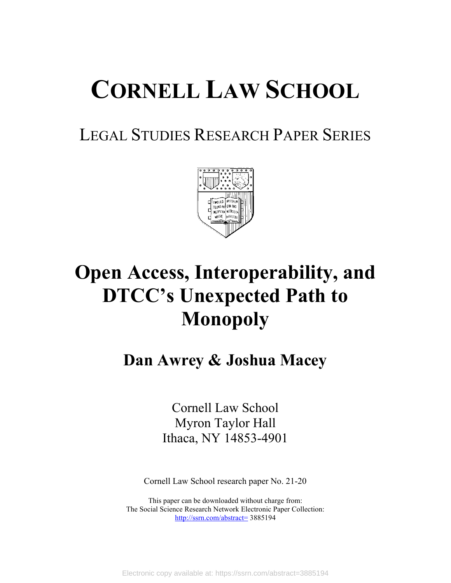# **CORNELL LAW SCHOOL**

## LEGAL STUDIES RESEARCH PAPER SERIES



# **Open Access, Interoperability, and DTCC's Unexpected Path to Monopoly**

## **Dan Awrey & Joshua Macey**

Cornell Law School Myron Taylor Hall Ithaca, NY 14853-4901

Cornell Law School research paper No. 21-20

This paper can be downloaded without charge from: The Social Science Research Network Electronic Paper Collection: <http://ssrn.com/abstract=> 3885194

Electronic copy available at: https://ssrn.com/abstract=3885194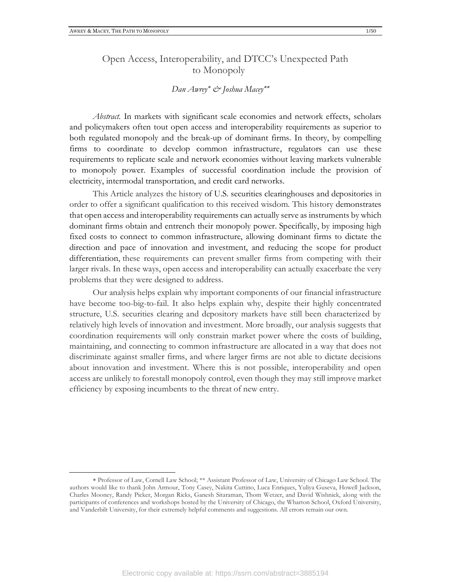#### Open Access, Interoperability, and DTCC's Unexpected Path to Monopoly

#### *Dan Awrey & Joshua Macey*

*Abstract.* In markets with significant scale economies and network effects, scholars and policymakers often tout open access and interoperability requirements as superior to both regulated monopoly and the break-up of dominant firms. In theory, by compelling firms to coordinate to develop common infrastructure, regulators can use these requirements to replicate scale and network economies without leaving markets vulnerable to monopoly power. Examples of successful coordination include the provision of electricity, intermodal transportation, and credit card networks.

This Article analyzes the history of U.S. securities clearinghouses and depositories in order to offer a significant qualification to this received wisdom. This history demonstrates that open access and interoperability requirements can actually serve as instruments by which dominant firms obtain and entrench their monopoly power. Specifically, by imposing high fixed costs to connect to common infrastructure, allowing dominant firms to dictate the direction and pace of innovation and investment, and reducing the scope for product differentiation, these requirements can prevent smaller firms from competing with their larger rivals. In these ways, open access and interoperability can actually exacerbate the very problems that they were designed to address.

Our analysis helps explain why important components of our financial infrastructure have become too-big-to-fail. It also helps explain why, despite their highly concentrated structure, U.S. securities clearing and depository markets have still been characterized by relatively high levels of innovation and investment. More broadly, our analysis suggests that coordination requirements will only constrain market power where the costs of building, maintaining, and connecting to common infrastructure are allocated in a way that does not discriminate against smaller firms, and where larger firms are not able to dictate decisions about innovation and investment. Where this is not possible, interoperability and open access are unlikely to forestall monopoly control, even though they may still improve market efficiency by exposing incumbents to the threat of new entry.

Professor of Law, Cornell Law School; \*\* Assistant Professor of Law, University of Chicago Law School. The authors would like to thank John Armour, Tony Casey, Nakita Cuttino, Luca Enriques, Yuliya Guseva, Howell Jackson, Charles Mooney, Randy Picker, Morgan Ricks, Ganesh Sitaraman, Thom Wetzer, and David Wishnick, along with the participants of conferences and workshops hosted by the University of Chicago, the Wharton School, Oxford University, and Vanderbilt University, for their extremely helpful comments and suggestions. All errors remain our own.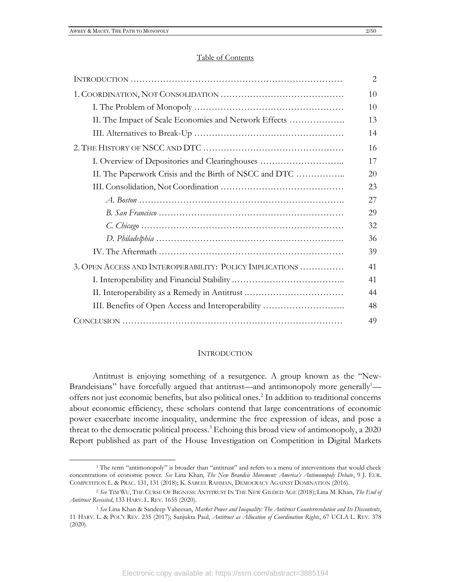#### Table of Contents

|                                                          | $\overline{2}$ |
|----------------------------------------------------------|----------------|
|                                                          | 10             |
|                                                          | 10             |
| II. The Impact of Scale Economies and Network Effects    | 13             |
|                                                          | 14             |
|                                                          | 16             |
| I. Overview of Depositories and Clearinghouses           | 17             |
| II. The Paperwork Crisis and the Birth of NSCC and DTC   | 20             |
|                                                          | 23             |
|                                                          | 27             |
|                                                          | 29             |
|                                                          | 32             |
|                                                          | 36             |
|                                                          | 39             |
| 3. OPEN ACCESS AND INTEROPERABILITY: POLICY IMPLICATIONS | 41             |
|                                                          | 41             |
| II. Interoperability as a Remedy in Antitrust            | 44             |
| III. Benefits of Open Access and Interoperability        | 48             |
|                                                          | 49             |

#### INTRODUCTION

Antitrust is enjoying something of a resurgence. A group known as the "New-Brandeisians" have forcefully argued that antitrust—and antimonopoly more generally $\frac{1}{2}$ offers not just economic benefits, but also political ones.<sup>2</sup> In addition to traditional concerns about economic efficiency, these scholars contend that large concentrations of economic power exacerbate income inequality, undermine the free expression of ideas, and pose a threat to the democratic political process.<sup>3</sup> Echoing this broad view of antimonopoly, a 2020 Report published as part of the House Investigation on Competition in Digital Markets

<sup>1</sup> The term "antimonopoly" is broader than "antitrust" and refers to a menu of interventions that would check concentrations of economic power. *See* Lina Khan, *The New Brandeis Movement: America's Antimonopoly Debate*, 9 J. EUR. COMPETITION L. & PRAC. 131, 131 (2018); K. SABEEL RAHMAN, DEMOCRACY AGAINST DOMINATION (2016).

<sup>2</sup> *See* TIM WU, THE CURSE OF BIGNESS: ANTITRUST IN THE NEW GILDED AGE (2018); Lina M. Khan, *The End of Antitrust Revisited*, 133 HARV. L. REV. 1655 (2020).

<sup>3</sup> *See* Lina Khan & Sandeep Vaheesan, *Market Power and Inequality: The Antitrust Counterrevolution and Its Discontents*, 11 HARV. L. & POL'Y REV. 235 (2017); Sanjukta Paul, *Antitrust as Allocation of Coordination Rights*, 67 UCLA L. REV. 378 (2020).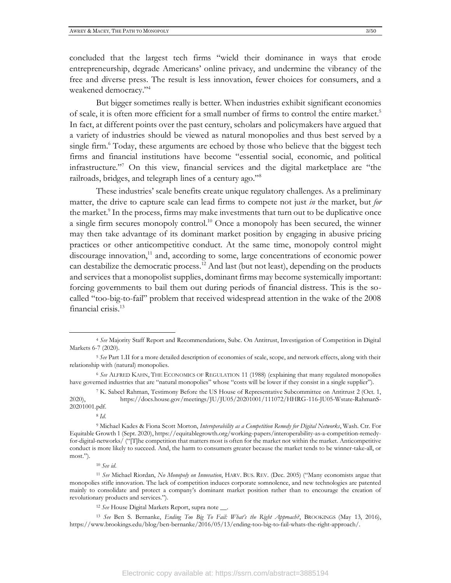concluded that the largest tech firms "wield their dominance in ways that erode entrepreneurship, degrade Americans' online privacy, and undermine the vibrancy of the free and diverse press. The result is less innovation, fewer choices for consumers, and a weakened democracy."<sup>4</sup>

But bigger sometimes really is better. When industries exhibit significant economies of scale, it is often more efficient for a small number of firms to control the entire market.<sup>5</sup> In fact, at different points over the past century, scholars and policymakers have argued that a variety of industries should be viewed as natural monopolies and thus best served by a single firm.<sup>6</sup> Today, these arguments are echoed by those who believe that the biggest tech firms and financial institutions have become "essential social, economic, and political infrastructure."<sup>7</sup> On this view, financial services and the digital marketplace are "the railroads, bridges, and telegraph lines of a century ago."<sup>8</sup>

These industries' scale benefits create unique regulatory challenges. As a preliminary matter, the drive to capture scale can lead firms to compete not just *in* the market, but *for* the market.<sup>9</sup> In the process, firms may make investments that turn out to be duplicative once a single firm secures monopoly control. <sup>10</sup> Once a monopoly has been secured, the winner may then take advantage of its dominant market position by engaging in abusive pricing practices or other anticompetitive conduct. At the same time, monopoly control might discourage innovation,<sup>11</sup> and, according to some, large concentrations of economic power can destabilize the democratic process.<sup>12</sup> And last (but not least), depending on the products and services that a monopolist supplies, dominant firms may become systemically important: forcing governments to bail them out during periods of financial distress. This is the socalled "too-big-to-fail" problem that received widespread attention in the wake of the 2008 financial crisis.<sup>13</sup>

<sup>8</sup> *Id*.

<sup>4</sup> *See* Majority Staff Report and Recommendations, Subc. On Antitrust, Investigation of Competition in Digital Markets 6-7 (2020).

<sup>5</sup> *See* Part 1.II for a more detailed description of economies of scale, scope, and network effects, along with their relationship with (natural) monopolies.

<sup>6</sup> *See* ALFRED KAHN, THE ECONOMICS OF REGULATION 11 (1988) (explaining that many regulated monopolies have governed industries that are "natural monopolies" whose "costs will be lower if they consist in a single supplier").

<sup>7</sup> K. Sabeel Rahman, Testimony Before the US House of Representative Subcommittee on Antitrust 2 (Oct. 1, 2020), https://docs.house.gov/meetings/JU/JU05/20201001/111072/HHRG-116-JU05-Wstate-RahmanS-20201001.pdf.

<sup>9</sup> Michael Kades & Fiona Scott Morton, *Interoperability as a Competition Remedy for Digital Networks*, Wash. Ctr. For Equitable Growth 1 (Sept. 2020), https://equitablegrowth.org/working-papers/interoperability-as-a-competition-remedyfor-digital-networks/ ("[T]he competition that matters most is often for the market not within the market. Anticompetitive conduct is more likely to succeed. And, the harm to consumers greater because the market tends to be winner-take-all, or most.").

<sup>10</sup> *See id*.

<sup>11</sup> *See* Michael Riordan, *No Monopoly on Innovation*, HARV. BUS. REV. (Dec. 2005) ("Many economists argue that monopolies stifle innovation. The lack of competition induces corporate somnolence, and new technologies are patented mainly to consolidate and protect a company's dominant market position rather than to encourage the creation of revolutionary products and services.").

<sup>12</sup> *See* House Digital Markets Report, supra note \_\_.

<sup>13</sup> *See* Ben S. Bernanke, *Ending Too Big To Fail: What's the Right Approach?*, BROOKINGS (May 13, 2016), https://www.brookings.edu/blog/ben-bernanke/2016/05/13/ending-too-big-to-fail-whats-the-right-approach/.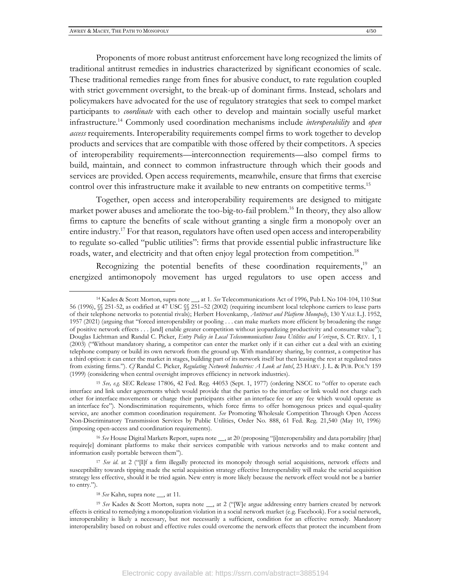Proponents of more robust antitrust enforcement have long recognized the limits of traditional antitrust remedies in industries characterized by significant economies of scale. These traditional remedies range from fines for abusive conduct, to rate regulation coupled with strict government oversight, to the break-up of dominant firms. Instead, scholars and policymakers have advocated for the use of regulatory strategies that seek to compel market participants to *coordinate* with each other to develop and maintain socially useful market infrastructure.<sup>14</sup> Commonly used coordination mechanisms include *interoperability* and *open access* requirements. Interoperability requirements compel firms to work together to develop products and services that are compatible with those offered by their competitors. A species of interoperability requirements—interconnection requirements—also compel firms to build, maintain, and connect to common infrastructure through which their goods and services are provided. Open access requirements, meanwhile, ensure that firms that exercise control over this infrastructure make it available to new entrants on competitive terms.<sup>15</sup>

Together, open access and interoperability requirements are designed to mitigate market power abuses and ameliorate the too-big-to-fail problem.<sup>16</sup> In theory, they also allow firms to capture the benefits of scale without granting a single firm a monopoly over an entire industry.<sup>17</sup> For that reason, regulators have often used open access and interoperability to regulate so-called "public utilities": firms that provide essential public infrastructure like roads, water, and electricity and that often enjoy legal protection from competition.<sup>18</sup>

Recognizing the potential benefits of these coordination requirements,<sup>19</sup> an energized antimonopoly movement has urged regulators to use open access and

<sup>16</sup> See House Digital Markets Report, supra note \_\_, at 20 (proposing "[i]nteroperability and data portability [that] require[e] dominant platforms to make their services compatible with various networks and to make content and information easily portable between them").

<sup>14</sup> Kades & Scott Morton, supra note \_\_, at 1. *See* Telecommunications Act of 1996, Pub L No 104-104, 110 Stat 56 (1996), §§ 251-52, as codified at 47 USC §§ 251–52 (2002) (requiring incumbent local telephone carriers to lease parts of their telephone networks to potential rivals); Herbert Hovenkamp, *Antitrust and Platform Monopoly*, 130 YALE L.J. 1952, 1957 (2021) (arguing that "forced interoperability or pooling . . . can make markets more efficient by broadening the range of positive network effects . . . [and] enable greater competition without jeopardizing productivity and consumer value"); Douglas Lichtman and Randal C. Picker, *Entry Policy in Local Telecommunications Iowa Utilities and Verizon*, S. CT. REV. 1, 1 (2003) ("Without mandatory sharing, a competitor can enter the market only if it can either cut a deal with an existing telephone company or build its own network from the ground up. With mandatory sharing, by contrast, a competitor has a third option: it can enter the market in stages, building part of its network itself but then leasing the rest at regulated rates from existing firms."). *Cf* Randal C. Picker, *Regulating Network Industries: A Look at Intel*, 23 HARV. J. L. & PUB. POL'Y 159 (1999) (considering when central oversight improves efficiency in network industries).

<sup>15</sup> *See, e.g.* SEC Release 17806, 42 Fed. Reg. 44053 (Sept. 1, 1977) (ordering NSCC to "offer to operate each interface and link under agreements which would provide that the parties to the interface or link would not charge each other for interface movements or charge their participants either an interface fee or any fee which would operate as an interface fee"). Nondiscrimination requirements, which force firms to offer homogenous prices and equal-quality service, are another common coordination requirement. *See* Promoting Wholesale Competition Through Open Access Non-Discriminatory Transmission Services by Public Utilities, Order No. 888, 61 Fed. Reg. 21,540 (May 10, 1996) (imposing open-access and coordination requirements).

<sup>&</sup>lt;sup>17</sup> *See id.* at 2 ("II[f a firm illegally protected its monopoly through serial acquisitions, network effects and susceptibility towards tipping made the serial acquisition strategy effective Interoperability will make the serial acquisition strategy less effective, should it be tried again. New entry is more likely because the network effect would not be a barrier to entry.").

<sup>18</sup> *See* Kahn, supra note \_\_, at 11.

<sup>&</sup>lt;sup>19</sup> See Kades & Scott Morton, supra note \_\_, at 2 ("[W]e argue addressing entry barriers created by network effects is critical to remedying a monopolization violation in a social network market (e.g. Facebook). For a social network, interoperability is likely a necessary, but not necessarily a sufficient, condition for an effective remedy. Mandatory interoperability based on robust and effective rules could overcome the network effects that protect the incumbent from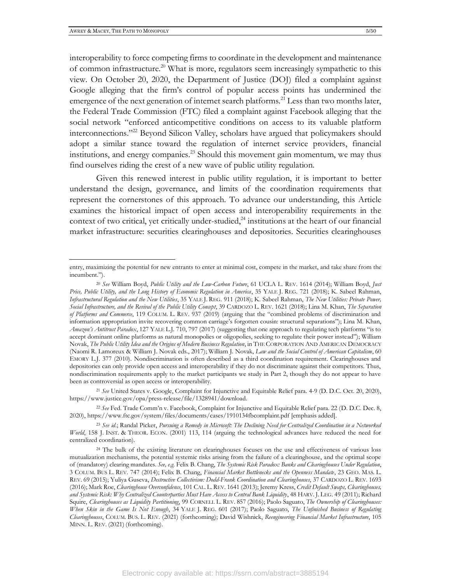interoperability to force competing firms to coordinate in the development and maintenance of common infrastructure.<sup>20</sup> What is more, regulators seem increasingly sympathetic to this view. On October 20, 2020, the Department of Justice (DOJ) filed a complaint against Google alleging that the firm's control of popular access points has undermined the emergence of the next generation of internet search platforms.<sup>21</sup> Less than two months later, the Federal Trade Commission (FTC) filed a complaint against Facebook alleging that the social network "enforced anticompetitive conditions on access to its valuable platform interconnections."<sup>22</sup> Beyond Silicon Valley, scholars have argued that policymakers should adopt a similar stance toward the regulation of internet service providers, financial institutions, and energy companies.<sup>23</sup> Should this movement gain momentum, we may thus find ourselves riding the crest of a new wave of public utility regulation.

Given this renewed interest in public utility regulation, it is important to better understand the design, governance, and limits of the coordination requirements that represent the cornerstones of this approach. To advance our understanding, this Article examines the historical impact of open access and interoperability requirements in the context of two critical, yet critically under-studied,<sup>24</sup> institutions at the heart of our financial market infrastructure: securities clearinghouses and depositories. Securities clearinghouses

entry, maximizing the potential for new entrants to enter at minimal cost, compete in the market, and take share from the incumbent.").

<sup>20</sup> *See* William Boyd, *Public Utility and the Low-Carbon Future*, 61 UCLA L. REV. 1614 (2014); William Boyd, *Just Price, Public Utility, and the Long History of Economic Regulation in America*, 35 YALE J. REG. 721 (2018); K. Sabeel Rahman, *Infrastructural Regulation and the New Utilities*, 35 YALE J. REG. 911 (2018); K. Sabeel Rahman, *The New Utilities: Private Power, Social Infrastructure, and the Revival of the Public Utility Concept*, 39 CARDOZO L. REV. 1621 (2018); Lina M. Khan, *The Separation of Platforms and Commerce*, 119 COLUM. L. REV. 937 (2019) (arguing that the "combined problems of discrimination and information appropriation invite recovering common carriage's forgotten cousin: structural separations"); Lina M. Khan, *Amazon's Antitrust Paradox*, 127 YALE L.J. 710, 797 (2017) (suggesting that one approach to regulating tech platforms "is to accept dominant online platforms as natural monopolies or oligopolies, seeking to regulate their power instead"); William Novak, *The Public Utility Idea and the Origins of Modern Business Regulation*, in THE CORPORATION AND AMERICAN DEMOCRACY (Naomi R. Lamoreux & William J. Novak eds., 2017); William J. Novak, *Law and the Social Control of American Capitalism*, 60 EMORY L.J. 377 (2010). Nondiscrimination is often described as a third coordination requirement. Clearinghouses and depositories can only provide open access and interoperability if they do not discriminate against their competitors. Thus, nondiscrimination requirements apply to the market participants we study in Part 2, though they do not appear to have been as controversial as open access or interoperability.

<sup>21</sup> *See* United States v. Google, Complaint for Injunctive and Equitable Relief para. 4-9 (D. D.C. Oct. 20, 2020), https://www.justice.gov/opa/press-release/file/1328941/download.

<sup>22</sup> *See* Fed. Trade Comm'n v. Facebook, Complaint for Injunctive and Equitable Relief para. 22 (D. D.C. Dec. 8, 2020), https://www.ftc.gov/system/files/documents/cases/1910134fbcomplaint.pdf [emphasis added].

<sup>23</sup> *See id*.; Randal Picker, *Pursuing a Remedy in Microsoft: The Declining Need for Centralized Coordination in a Networked World*, 158 J. INST. & THEOR. ECON. (2001) 113, 114 (arguing the technological advances have reduced the need for centralized coordination).

<sup>&</sup>lt;sup>24</sup> The bulk of the existing literature on clearinghouses focuses on the use and effectiveness of various loss mutualization mechanisms, the potential systemic risks arising from the failure of a clearinghouse, and the optimal scope of (mandatory) clearing mandates. *See, e.g.* Felix B. Chang, *The Systemic Risk Paradox: Banks and Clearinghouses Under Regulation*, 3 COLUM. BUS L. REV. 747 (2014); Felix B. Chang, *Financial Market Bottlenecks and the Openness Mandate*, 23 GEO. MAS. L. REV. 69 (2015); Yuliya Guseva, *Destructive Collectivism: Dodd-Frank Coordination and Clearinghouses*, 37 CARDOZO L. REV. 1693 (2016); Mark Roe, *Clearinghouse Overconfidence*, 101 CAL. L.REV. 1641 (2013); Jeremy Kress, *Credit Default Swaps, Clearinghouses, and Systemic Risk: Why Centralized Counterparties Must Have Access to Central Bank Liquidity*, 48 HARV. J. LEG. 49 (2011); Richard Squire, *Clearinghouses as Liquidity Partitioning*, 99 CORNELL L. REV. 857 (2016); Paolo Saguato, *The Ownership of Clearinghouses: When Skin in the Game Is Not Enough*, 34 YALE J. REG. 601 (2017); Paolo Saguato, *The Unfinished Business of Regulating Clearinghouses*, COLUM. BUS. L. REV. (2021) (forthcoming); David Wishnick, *Reengineering Financial Market Infrastructure*, 105 MINN. L. REV. (2021) (forthcoming).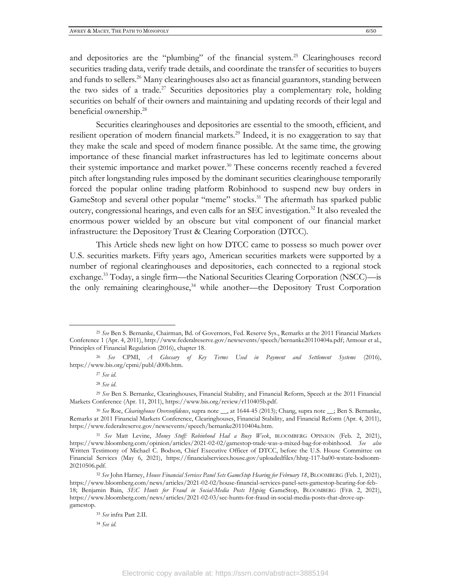and depositories are the "plumbing" of the financial system.<sup>25</sup> Clearinghouses record securities trading data, verify trade details, and coordinate the transfer of securities to buyers and funds to sellers.<sup>26</sup> Many clearinghouses also act as financial guarantors, standing between the two sides of a trade.<sup>27</sup> Securities depositories play a complementary role, holding securities on behalf of their owners and maintaining and updating records of their legal and beneficial ownership.<sup>28</sup>

Securities clearinghouses and depositories are essential to the smooth, efficient, and resilient operation of modern financial markets.<sup>29</sup> Indeed, it is no exaggeration to say that they make the scale and speed of modern finance possible. At the same time, the growing importance of these financial market infrastructures has led to legitimate concerns about their systemic importance and market power.<sup>30</sup> These concerns recently reached a fevered pitch after longstanding rules imposed by the dominant securities clearinghouse temporarily forced the popular online trading platform Robinhood to suspend new buy orders in GameStop and several other popular "meme" stocks.<sup>31</sup> The aftermath has sparked public outcry, congressional hearings, and even calls for an SEC investigation. <sup>32</sup> It also revealed the enormous power wielded by an obscure but vital component of our financial market infrastructure: the Depository Trust & Clearing Corporation (DTCC).

This Article sheds new light on how DTCC came to possess so much power over U.S. securities markets. Fifty years ago, American securities markets were supported by a number of regional clearinghouses and depositories, each connected to a regional stock exchange. <sup>33</sup> Today, a single firm—the National Securities Clearing Corporation (NSCC)—is the only remaining clearinghouse, $34$  while another—the Depository Trust Corporation

<sup>25</sup> *See* Ben S. Bernanke, Chairman, Bd. of Governors, Fed. Reserve Sys., Remarks at the 2011 Financial Markets Conference 1 (Apr. 4, 2011), http://www.federalreserve.gov/newsevents/speech/bernanke20110404a.pdf; Armour et al., Principles of Financial Regulation (2016), chapter 18.

<sup>26</sup> *See* CPMI, *A Glossary of Key Terms Used in Payment and Settlement Systems* (2016), https://www.bis.org/cpmi/publ/d00b.htm.

<sup>27</sup> *See id*.

<sup>28</sup> *See id*.

<sup>29</sup> *See* Ben S. Bernanke, Clearinghouses, Financial Stability, and Financial Reform, Speech at the 2011 Financial Markets Conference (Apr. 11, 2011), https://www.bis.org/review/r110405b.pdf.

<sup>30</sup> *See* Roe, *Clearinghouse Overconfidence*, supra note \_\_, at 1644-45 (2013); Chang, supra note \_\_; Ben S. Bernanke, Remarks at 2011 Financial Markets Conference, Clearinghouses, Financial Stability, and Financial Reform (Apr. 4, 2011), https://www.federalreserve.gov/newsevents/speech/bernanke20110404a.htm.

<sup>31</sup> *See* Matt Levine, *Money Stuff: Robinhood Had a Busy Week*, BLOOMBERG OPINION (Feb. 2, 2021), https://www.bloomberg.com/opinion/articles/2021-02-02/gamestop-trade-was-a-mixed-bag-for-robinhood. *See also* Written Testimony of Michael C. Bodson, Chief Executive Officer of DTCC, before the U.S. House Committee on Financial Services (May 6, 2021), https://financialservices.house.gov/uploadedfiles/hhrg-117-ba00-wstate-bodsonm-20210506.pdf.

<sup>32</sup> *See* John Harney, *House Financial Services Panel Sets GameStop Hearing for February 18*, BLOOMBERG (Feb. 1, 2021), https://www.bloomberg.com/news/articles/2021-02-02/house-financial-services-panel-sets-gamestop-hearing-for-feb-18; Benjamin Bain, *SEC Hunts for Fraud in Social-Media Posts Hyping* GameStop, BLOOMBERG (FEB. 2, 2021), https://www.bloomberg.com/news/articles/2021-02-03/sec-hunts-for-fraud-in-social-media-posts-that-drove-upgamestop.

<sup>33</sup> *See* infra Part 2.II.

<sup>34</sup> *See id.*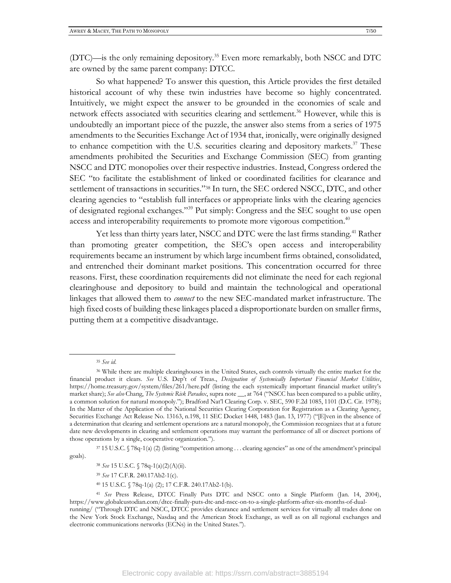(DTC)—is the only remaining depository.<sup>35</sup> Even more remarkably, both NSCC and DTC are owned by the same parent company: DTCC.

So what happened? To answer this question, this Article provides the first detailed historical account of why these twin industries have become so highly concentrated. Intuitively, we might expect the answer to be grounded in the economies of scale and network effects associated with securities clearing and settlement.<sup>36</sup> However, while this is undoubtedly an important piece of the puzzle, the answer also stems from a series of 1975 amendments to the Securities Exchange Act of 1934 that, ironically, were originally designed to enhance competition with the U.S. securities clearing and depository markets.<sup>37</sup> These amendments prohibited the Securities and Exchange Commission (SEC) from granting NSCC and DTC monopolies over their respective industries. Instead, Congress ordered the SEC "to facilitate the establishment of linked or coordinated facilities for clearance and settlement of transactions in securities."<sup>38</sup> In turn, the SEC ordered NSCC, DTC, and other clearing agencies to "establish full interfaces or appropriate links with the clearing agencies of designated regional exchanges."<sup>39</sup> Put simply: Congress and the SEC sought to use open access and interoperability requirements to promote more vigorous competition.<sup>40</sup>

Yet less than thirty years later, NSCC and DTC were the last firms standing.<sup>41</sup> Rather than promoting greater competition, the SEC's open access and interoperability requirements became an instrument by which large incumbent firms obtained, consolidated, and entrenched their dominant market positions. This concentration occurred for three reasons. First, these coordination requirements did not eliminate the need for each regional clearinghouse and depository to build and maintain the technological and operational linkages that allowed them to *connect* to the new SEC-mandated market infrastructure. The high fixed costs of building these linkages placed a disproportionate burden on smaller firms, putting them at a competitive disadvantage.

<sup>37</sup> 15 U.S.C. § 78q-1(a) (2) (listing "competition among . . . clearing agencies" as one of the amendment's principal

goals).

- <sup>38</sup> *See* 15 U.S.C. § 78q-1(a)(2)(A)(ii).
- <sup>39</sup> *See* 17 C.F.R. 240.17Ab2-1(c).
- <sup>40</sup> 15 U.S.C. § 78q-1(a) (2); 17 C.F.R. 240.17Ab2-1(b).

<sup>35</sup> *See id.*

<sup>36</sup> While there are multiple clearinghouses in the United States, each controls virtually the entire market for the financial product it clears. *See* U.S. Dep't of Treas., *Designation of Systemically Important Financial Market Utilities*, https://home.treasury.gov/system/files/261/here.pdf (listing the each systemically important financial market utility's market share); *See also* Chang, *The Systemic Risk Paradox*, supra note \_\_, at 764 ("NSCC has been compared to a public utility, a common solution for natural monopoly."); Bradford Nat'l Clearing Corp. v. SEC, 590 F.2d 1085, 1101 (D.C. Cir. 1978); In the Matter of the Application of the National Securities Clearing Corporation for Registration as a Clearing Agency, Securities Exchange Act Release No. 13163, n.198, 11 SEC Docket 1448, 1483 (Jan. 13, 1977) ("E]ven in the absence of a determination that clearing and settlement operations are a natural monopoly, the Commission recognizes that at a future date new developments in clearing and settlement operations may warrant the performance of all or discreet portions of those operations by a single, cooperative organization.").

<sup>41</sup> *See* Press Release, DTCC Finally Puts DTC and NSCC onto a Single Platform (Jan. 14, 2004), https://www.globalcustodian.com/dtcc-finally-puts-dtc-and-nscc-on-to-a-single-platform-after-six-months-of-dualrunning/ ("Through DTC and NSCC, DTCC provides clearance and settlement services for virtually all trades done on the New York Stock Exchange, Nasdaq and the American Stock Exchange, as well as on all regional exchanges and electronic communications networks (ECNs) in the United States.").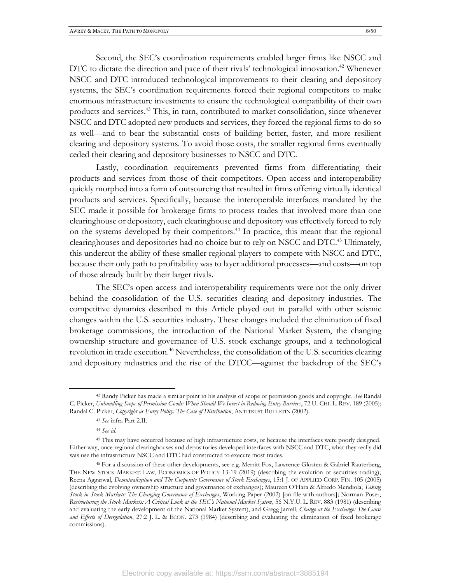Second, the SEC's coordination requirements enabled larger firms like NSCC and DTC to dictate the direction and pace of their rivals' technological innovation.<sup>42</sup> Whenever NSCC and DTC introduced technological improvements to their clearing and depository systems, the SEC's coordination requirements forced their regional competitors to make enormous infrastructure investments to ensure the technological compatibility of their own products and services.<sup>43</sup> This, in turn, contributed to market consolidation, since whenever NSCC and DTC adopted new products and services, they forced the regional firms to do so as well—and to bear the substantial costs of building better, faster, and more resilient clearing and depository systems. To avoid those costs, the smaller regional firms eventually ceded their clearing and depository businesses to NSCC and DTC.

Lastly, coordination requirements prevented firms from differentiating their products and services from those of their competitors. Open access and interoperability quickly morphed into a form of outsourcing that resulted in firms offering virtually identical products and services. Specifically, because the interoperable interfaces mandated by the SEC made it possible for brokerage firms to process trades that involved more than one clearinghouse or depository, each clearinghouse and depository was effectively forced to rely on the systems developed by their competitors.<sup>44</sup> In practice, this meant that the regional clearinghouses and depositories had no choice but to rely on NSCC and DTC. <sup>45</sup> Ultimately, this undercut the ability of these smaller regional players to compete with NSCC and DTC, because their only path to profitability was to layer additional processes—and costs—on top of those already built by their larger rivals.

The SEC's open access and interoperability requirements were not the only driver behind the consolidation of the U.S. securities clearing and depository industries. The competitive dynamics described in this Article played out in parallel with other seismic changes within the U.S. securities industry. These changes included the elimination of fixed brokerage commissions, the introduction of the National Market System, the changing ownership structure and governance of U.S. stock exchange groups, and a technological revolution in trade execution.<sup>46</sup> Nevertheless, the consolidation of the U.S. securities clearing and depository industries and the rise of the DTCC—against the backdrop of the SEC's

<sup>42</sup> Randy Picker has made a similar point in his analysis of scope of permission goods and copyright. *See* Randal C. Picker, *Unbundling Scope of Permission Goods: When Should We Invest in Reducing Entry Barriers*, 72 U. CHI. L. REV. 189 (2005); Randal C. Picker, *Copyright as Entry Policy: The Case of Distribution*, ANTITRUST BULLETIN (2002).

<sup>43</sup> *See* infra Part 2.II.

<sup>44</sup> *See id*.

<sup>45</sup> This may have occurred because of high infrastructure costs, or because the interfaces were poorly designed. Either way, once regional clearinghouses and depositories developed interfaces with NSCC and DTC, what they really did was use the infrastructure NSCC and DTC had constructed to execute most trades.

<sup>46</sup> For a discussion of these other developments, see e.g. Merritt Fox, Lawrence Glosten & Gabriel Rauterberg, THE NEW STOCK MARKET: LAW, ECONOMICS OF POLICY 13-19 (2019) (describing the evolution of securities trading); Reena Aggarwal, *Demutualization and The Corporate Governance of Stock Exchanges*, 15:1 J. OF APPLIED CORP. FIN. 105 (2005) (describing the evolving ownership structure and governance of exchanges); Maureen O'Hara & Alfredo Mendiola, *Taking Stock in Stock Markets: The Changing Governance of Exchanges*, Working Paper (2002) [on file with authors]; Norman Poser, *Restructuring the Stock Markets: A Critical Look at the SEC's National Market System*, 56 N.Y.U. L. REV. 883 (1981) (describing and evaluating the early development of the National Market System), and Gregg Jarrell, *Change at the Exchange: The Cause and Effects of Deregulation*, 27:2 J. L. & ECON. 273 (1984) (describing and evaluating the elimination of fixed brokerage commissions).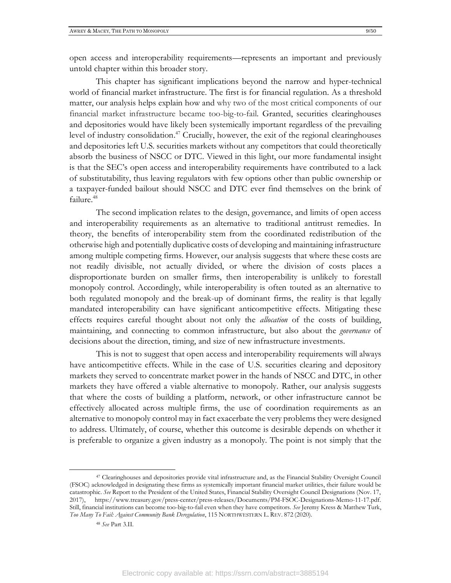open access and interoperability requirements—represents an important and previously untold chapter within this broader story.

This chapter has significant implications beyond the narrow and hyper-technical world of financial market infrastructure. The first is for financial regulation. As a threshold matter, our analysis helps explain how and why two of the most critical components of our financial market infrastructure became too-big-to-fail. Granted, securities clearinghouses and depositories would have likely been systemically important regardless of the prevailing level of industry consolidation. <sup>47</sup> Crucially, however, the exit of the regional clearinghouses and depositories left U.S. securities markets without any competitors that could theoretically absorb the business of NSCC or DTC. Viewed in this light, our more fundamental insight is that the SEC's open access and interoperability requirements have contributed to a lack of substitutability, thus leaving regulators with few options other than public ownership or a taxpayer-funded bailout should NSCC and DTC ever find themselves on the brink of failure. 48

The second implication relates to the design, governance, and limits of open access and interoperability requirements as an alternative to traditional antitrust remedies. In theory, the benefits of interoperability stem from the coordinated redistribution of the otherwise high and potentially duplicative costs of developing and maintaining infrastructure among multiple competing firms. However, our analysis suggests that where these costs are not readily divisible, not actually divided, or where the division of costs places a disproportionate burden on smaller firms, then interoperability is unlikely to forestall monopoly control. Accordingly, while interoperability is often touted as an alternative to both regulated monopoly and the break-up of dominant firms, the reality is that legally mandated interoperability can have significant anticompetitive effects. Mitigating these effects requires careful thought about not only the *allocation* of the costs of building, maintaining, and connecting to common infrastructure, but also about the *governance* of decisions about the direction, timing, and size of new infrastructure investments.

This is not to suggest that open access and interoperability requirements will always have anticompetitive effects. While in the case of U.S. securities clearing and depository markets they served to concentrate market power in the hands of NSCC and DTC, in other markets they have offered a viable alternative to monopoly. Rather, our analysis suggests that where the costs of building a platform, network, or other infrastructure cannot be effectively allocated across multiple firms, the use of coordination requirements as an alternative to monopoly control may in fact exacerbate the very problems they were designed to address. Ultimately, of course, whether this outcome is desirable depends on whether it is preferable to organize a given industry as a monopoly. The point is not simply that the

<sup>47</sup> Clearinghouses and depositories provide vital infrastructure and, as the Financial Stability Oversight Council (FSOC) acknowledged in designating these firms as systemically important financial market utilities, their failure would be catastrophic. *See* Report to the President of the United States, Financial Stability Oversight Council Designations (Nov. 17, 2017), https://www.treasury.gov/press-center/press-releases/Documents/PM-FSOC-Designations-Memo-11-17.pdf. Still, financial institutions can become too-big-to-fail even when they have competitors. *See* Jeremy Kress & Matthew Turk, *Too Many To Fail: Against Community Bank Deregulation*, 115 NORTHWESTERN L. REV. 872 (2020).

<sup>48</sup> *See* Part 3.II.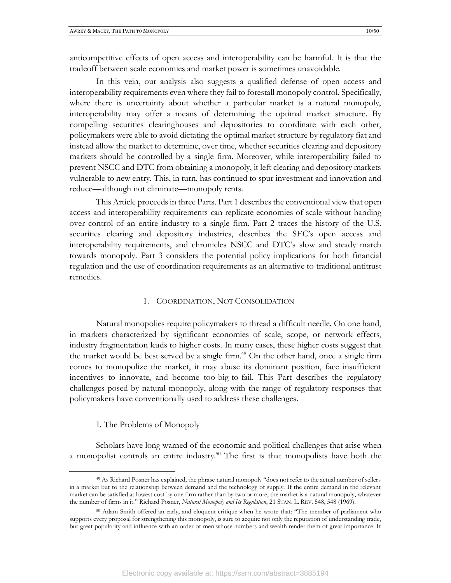anticompetitive effects of open access and interoperability can be harmful. It is that the tradeoff between scale economies and market power is sometimes unavoidable.

In this vein, our analysis also suggests a qualified defense of open access and interoperability requirements even where they fail to forestall monopoly control. Specifically, where there is uncertainty about whether a particular market is a natural monopoly, interoperability may offer a means of determining the optimal market structure. By compelling securities clearinghouses and depositories to coordinate with each other, policymakers were able to avoid dictating the optimal market structure by regulatory fiat and instead allow the market to determine, over time, whether securities clearing and depository markets should be controlled by a single firm. Moreover, while interoperability failed to prevent NSCC and DTC from obtaining a monopoly, it left clearing and depository markets vulnerable to new entry. This, in turn, has continued to spur investment and innovation and reduce—although not eliminate—monopoly rents.

This Article proceeds in three Parts. Part 1 describes the conventional view that open access and interoperability requirements can replicate economies of scale without handing over control of an entire industry to a single firm. Part 2 traces the history of the U.S. securities clearing and depository industries, describes the SEC's open access and interoperability requirements, and chronicles NSCC and DTC's slow and steady march towards monopoly. Part 3 considers the potential policy implications for both financial regulation and the use of coordination requirements as an alternative to traditional antitrust remedies.

#### 1. COORDINATION, NOT CONSOLIDATION

Natural monopolies require policymakers to thread a difficult needle. On one hand, in markets characterized by significant economies of scale, scope, or network effects, industry fragmentation leads to higher costs. In many cases, these higher costs suggest that the market would be best served by a single firm. <sup>49</sup> On the other hand, once a single firm comes to monopolize the market, it may abuse its dominant position, face insufficient incentives to innovate, and become too-big-to-fail. This Part describes the regulatory challenges posed by natural monopoly, along with the range of regulatory responses that policymakers have conventionally used to address these challenges.

#### I. The Problems of Monopoly

Scholars have long warned of the economic and political challenges that arise when a monopolist controls an entire industry.<sup>50</sup> The first is that monopolists have both the

<sup>49</sup> As Richard Posner has explained, the phrase natural monopoly "does not refer to the actual number of sellers in a market but to the relationship between demand and the technology of supply. If the entire demand in the relevant market can be satisfied at lowest cost by one firm rather than by two or more, the market is a natural monopoly, whatever the number of firms in it." Richard Posner, *Natural Monopoly and Its Regulation*, 21 STAN. L. REV. 548, 548 (1969).

<sup>50</sup> Adam Smith offered an early, and eloquent critique when he wrote that: "The member of parliament who supports every proposal for strengthening this monopoly, is sure to acquire not only the reputation of understanding trade, but great popularity and influence with an order of men whose numbers and wealth render them of great importance. If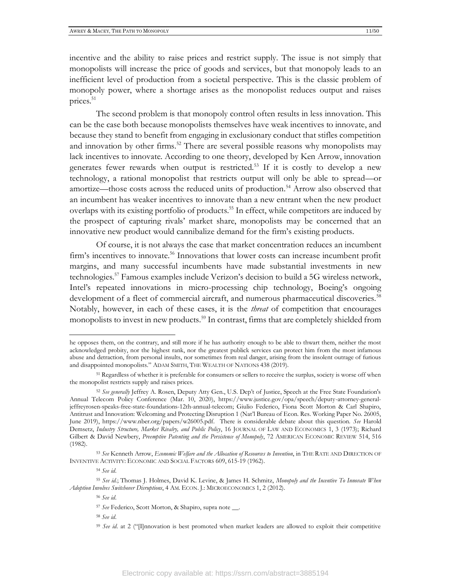incentive and the ability to raise prices and restrict supply. The issue is not simply that monopolists will increase the price of goods and services, but that monopoly leads to an inefficient level of production from a societal perspective. This is the classic problem of monopoly power, where a shortage arises as the monopolist reduces output and raises prices.<sup>51</sup>

The second problem is that monopoly control often results in less innovation. This can be the case both because monopolists themselves have weak incentives to innovate, and because they stand to benefit from engaging in exclusionary conduct that stifles competition and innovation by other firms.<sup>52</sup> There are several possible reasons why monopolists may lack incentives to innovate. According to one theory, developed by Ken Arrow, innovation generates fewer rewards when output is restricted.<sup>53</sup> If it is costly to develop a new technology, a rational monopolist that restricts output will only be able to spread—or amortize—those costs across the reduced units of production.<sup>54</sup> Arrow also observed that an incumbent has weaker incentives to innovate than a new entrant when the new product overlaps with its existing portfolio of products.<sup>55</sup> In effect, while competitors are induced by the prospect of capturing rivals' market share, monopolists may be concerned that an innovative new product would cannibalize demand for the firm's existing products.

Of course, it is not always the case that market concentration reduces an incumbent firm's incentives to innovate.<sup>56</sup> Innovations that lower costs can increase incumbent profit margins, and many successful incumbents have made substantial investments in new technologies.<sup>57</sup> Famous examples include Verizon's decision to build a 5G wireless network, Intel's repeated innovations in micro-processing chip technology, Boeing's ongoing development of a fleet of commercial aircraft, and numerous pharmaceutical discoveries.<sup>58</sup> Notably, however, in each of these cases, it is the *threat* of competition that encourages monopolists to invest in new products.<sup>59</sup> In contrast, firms that are completely shielded from

<sup>58</sup> *See id*.

he opposes them, on the contrary, and still more if he has authority enough to be able to thwart them, neither the most acknowledged probity, nor the highest rank, nor the greatest publick services can protect him from the most infamous abuse and detraction, from personal insults, nor sometimes from real danger, arising from the insolent outrage of furious and disappointed monopolists." ADAM SMITH, THE WEALTH OF NATIONS 438 (2019).

<sup>51</sup> Regardless of whether it is preferable for consumers or sellers to receive the surplus, society is worse off when the monopolist restricts supply and raises prices.

<sup>52</sup> *See generally* Jeffrey A. Rosen, Deputy Atty Gen., U.S. Dep't of Justice, Speech at the Free State Foundation's Annual Telecom Policy Conference (Mar. 10, 2020), https://www.justice.gov/opa/speech/deputy-attorney-generaljeffreyrosen-speaks-free-state-foundations-12th-annual-telecom; Giulio Federico, Fiona Scott Morton & Carl Shapiro, Antitrust and Innovation: Welcoming and Protecting Disruption 1 (Nat'l Bureau of Econ. Res. Working Paper No. 26005, June 2019), https://www.nber.org/papers/w26005.pdf. There is considerable debate about this question. *See* Harold Demsetz, *Industry Structure, Market Rivalry, and Public Policy*, 16 JOURNAL OF LAW AND ECONOMICS 1, 3 (1973); Richard Gilbert & David Newbery, *Preemptive Patenting and the Persistence of Monopoly*, 72 AMERICAN ECONOMIC REVIEW 514, 516 (1982).

<sup>53</sup> *See* Kenneth Arrow, *Economic Welfare and the Allocation of Resources to Invention*, in THE RATE AND DIRECTION OF INVENTIVE ACTIVITY: ECONOMIC AND SOCIAL FACTORS 609, 615-19 (1962).

<sup>54</sup> *See id*.

<sup>55</sup> *See id.*; Thomas J. Holmes, David K. Levine, & James H. Schmitz, *Monopoly and the Incentive To Innovate When Adoption Involves Switchover Disruptions*, 4 AM. ECON. J.: MICROECONOMICS 1, 2 (2012).

<sup>56</sup> *See id*.

<sup>57</sup> *See* Federico, Scott Morton, & Shapiro, supra note \_\_.

<sup>&</sup>lt;sup>59</sup> See id. at 2 ("II]nnovation is best promoted when market leaders are allowed to exploit their competitive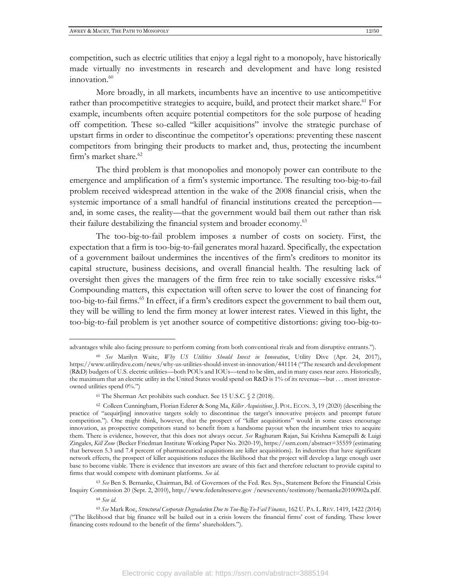competition, such as electric utilities that enjoy a legal right to a monopoly, have historically made virtually no investments in research and development and have long resisted  $innovation.<sup>60</sup>$ 

More broadly, in all markets, incumbents have an incentive to use anticompetitive rather than procompetitive strategies to acquire, build, and protect their market share.<sup>61</sup> For example, incumbents often acquire potential competitors for the sole purpose of heading off competition. These so-called "killer acquisitions" involve the strategic purchase of upstart firms in order to discontinue the competitor's operations: preventing these nascent competitors from bringing their products to market and, thus, protecting the incumbent firm's market share.<sup>62</sup>

The third problem is that monopolies and monopoly power can contribute to the emergence and amplification of a firm's systemic importance. The resulting too-big-to-fail problem received widespread attention in the wake of the 2008 financial crisis, when the systemic importance of a small handful of financial institutions created the perception and, in some cases, the reality—that the government would bail them out rather than risk their failure destabilizing the financial system and broader economy.<sup>63</sup>

The too-big-to-fail problem imposes a number of costs on society. First, the expectation that a firm is too-big-to-fail generates moral hazard. Specifically, the expectation of a government bailout undermines the incentives of the firm's creditors to monitor its capital structure, business decisions, and overall financial health. The resulting lack of oversight then gives the managers of the firm free rein to take socially excessive risks.<sup>64</sup> Compounding matters, this expectation will often serve to lower the cost of financing for too-big-to-fail firms.<sup>65</sup> In effect, if a firm's creditors expect the government to bail them out, they will be willing to lend the firm money at lower interest rates. Viewed in this light, the too-big-to-fail problem is yet another source of competitive distortions: giving too-big-to-

<sup>63</sup> *See* Ben S. Bernanke, Chairman, Bd. of Governors of the Fed. Res. Sys., Statement Before the Financial Crisis Inquiry Commission 20 (Sept. 2, 2010), http://www.federalreserve.gov /newsevents/testimony/bernanke20100902a.pdf.

advantages while also facing pressure to perform coming from both conventional rivals and from disruptive entrants.").

<sup>60</sup> *See* Marilyn Waite, *Why US Utilities Should Invest in Innovation*, Utility Dive (Apr. 24, 2017), https://www.utilitydive.com/news/why-us-utilities-should-invest-in-innovation/441114 ("The research and development (R&D) budgets of U.S. electric utilities—both POUs and IOUs—tend to be slim, and in many cases near zero. Historically, the maximum that an electric utility in the United States would spend on R&D is 1% of its revenue—but . . . most investorowned utilities spend 0%.")

<sup>61</sup> The Sherman Act prohibits such conduct. See 15 U.S.C. § 2 (2018).

<sup>62</sup> Colleen Cunningham, Florian Ederer & Song Ma, *Killer Acquisitions*, J. POL. ECON. 3, 19 (2020) (describing the practice of "acquir[ing] innovative targets solely to discontinue the target's innovative projects and preempt future competition."). One might think, however, that the prospect of "killer acquisitions" would in some cases encourage innovation, as prospective competitors stand to benefit from a handsome payout when the incumbent tries to acquire them. There is evidence, however, that this does not always occur. *See* Raghuram Rajan, Sai Krishna Kamepalli & Luigi Zingales, *Kill Zone* (Becker Friedman Institute Working Paper No. 2020-19), https://ssrn.com/abstract=35559 (estimating that between 5.3 and 7.4 percent of pharmaceutical acquisitions are killer acquisitions). In industries that have significant network effects, the prospect of killer acquisitions reduces the likelihood that the project will develop a large enough user base to become viable. There is evidence that investors are aware of this fact and therefore reluctant to provide capital to firms that would compete with dominant platforms. *See id*.

<sup>64</sup> *See id*.

<sup>65</sup> *See* Mark Roe, *Structural Corporate Degradation Due to Too-Big-To-Fail Finance*, 162 U. PA. L.REV. 1419, 1422 (2014) ("The likelihood that big finance will be bailed out in a crisis lowers the financial firms' cost of funding. These lower financing costs redound to the benefit of the firms' shareholders.").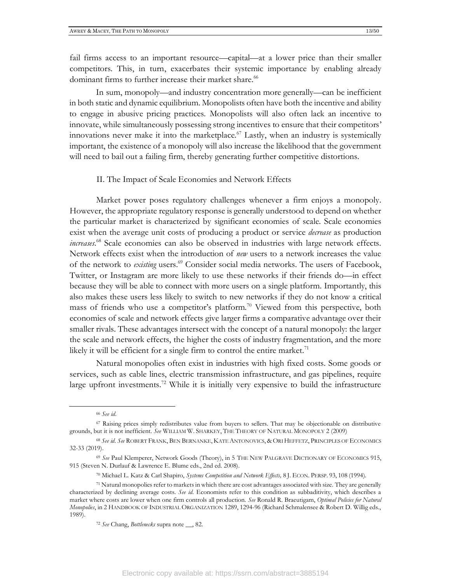fail firms access to an important resource—capital—at a lower price than their smaller competitors. This, in turn, exacerbates their systemic importance by enabling already dominant firms to further increase their market share.<sup>66</sup>

In sum, monopoly—and industry concentration more generally—can be inefficient in both static and dynamic equilibrium. Monopolists often have both the incentive and ability to engage in abusive pricing practices. Monopolists will also often lack an incentive to innovate, while simultaneously possessing strong incentives to ensure that their competitors' innovations never make it into the marketplace.<sup>67</sup> Lastly, when an industry is systemically important, the existence of a monopoly will also increase the likelihood that the government will need to bail out a failing firm, thereby generating further competitive distortions.

#### II. The Impact of Scale Economies and Network Effects

Market power poses regulatory challenges whenever a firm enjoys a monopoly. However, the appropriate regulatory response is generally understood to depend on whether the particular market is characterized by significant economies of scale. Scale economies exist when the average unit costs of producing a product or service *decrease* as production *increases*. <sup>68</sup> Scale economies can also be observed in industries with large network effects. Network effects exist when the introduction of *new* users to a network increases the value of the network to *existing* users.<sup>69</sup> Consider social media networks. The users of Facebook, Twitter, or Instagram are more likely to use these networks if their friends do—in effect because they will be able to connect with more users on a single platform. Importantly, this also makes these users less likely to switch to new networks if they do not know a critical mass of friends who use a competitor's platform.<sup>70</sup> Viewed from this perspective, both economies of scale and network effects give larger firms a comparative advantage over their smaller rivals. These advantages intersect with the concept of a natural monopoly: the larger the scale and network effects, the higher the costs of industry fragmentation, and the more likely it will be efficient for a single firm to control the entire market.<sup>71</sup>

Natural monopolies often exist in industries with high fixed costs. Some goods or services, such as cable lines, electric transmission infrastructure, and gas pipelines, require large upfront investments.<sup>72</sup> While it is initially very expensive to build the infrastructure

<sup>66</sup> *See id*.

<sup>67</sup> Raising prices simply redistributes value from buyers to sellers. That may be objectionable on distributive grounds, but it is not inefficient. *See* WILLIAM W. SHARKEY, THE THEORY OF NATURAL MONOPOLY 2 (2009)

<sup>68</sup> *See id*. *See* ROBERT FRANK, BEN BERNANKE, KATE ANTONOVICS, & ORI HEFFETZ, PRINCIPLES OF ECONOMICS 32-33 (2019).

<sup>69</sup> *See* Paul Klemperer, Network Goods (Theory), in 5 THE NEW PALGRAVE DICTIONARY OF ECONOMICS 915, 915 (Steven N. Durlauf & Lawrence E. Blume eds., 2nd ed. 2008).

<sup>70</sup> Michael L. Katz & Carl Shapiro, *Systems Competition and Network Effects,* 8 J. ECON. PERSP. 93, 108 (1994).

<sup>71</sup> Natural monopolies refer to markets in which there are cost advantages associated with size. They are generally characterized by declining average costs. *See id*. Economists refer to this condition as subbaditivity, which describes a market where costs are lower when one firm controls all production. *See* Ronald R. Braeutigam, *Optimal Policies for Natural Monopolies*, in 2 HANDBOOK OF INDUSTRIAL ORGANIZATION 1289, 1294-96 (Richard Schmalensee & Robert D. Willig eds., 1989).

<sup>72</sup> *See* Chang, *Bottlenecks* supra note \_\_, 82.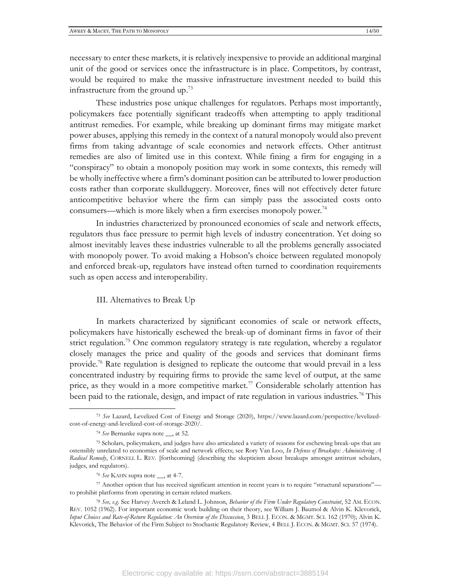necessary to enter these markets, it is relatively inexpensive to provide an additional marginal unit of the good or services once the infrastructure is in place. Competitors, by contrast, would be required to make the massive infrastructure investment needed to build this infrastructure from the ground up.<sup>73</sup>

These industries pose unique challenges for regulators. Perhaps most importantly, policymakers face potentially significant tradeoffs when attempting to apply traditional antitrust remedies. For example, while breaking up dominant firms may mitigate market power abuses, applying this remedy in the context of a natural monopoly would also prevent firms from taking advantage of scale economies and network effects. Other antitrust remedies are also of limited use in this context. While fining a firm for engaging in a "conspiracy" to obtain a monopoly position may work in some contexts, this remedy will be wholly ineffective where a firm's dominant position can be attributed to lower production costs rather than corporate skullduggery. Moreover, fines will not effectively deter future anticompetitive behavior where the firm can simply pass the associated costs onto consumers—which is more likely when a firm exercises monopoly power.<sup>74</sup>

In industries characterized by pronounced economies of scale and network effects, regulators thus face pressure to permit high levels of industry concentration. Yet doing so almost inevitably leaves these industries vulnerable to all the problems generally associated with monopoly power. To avoid making a Hobson's choice between regulated monopoly and enforced break-up, regulators have instead often turned to coordination requirements such as open access and interoperability.

#### III. Alternatives to Break Up

In markets characterized by significant economies of scale or network effects, policymakers have historically eschewed the break-up of dominant firms in favor of their strict regulation. <sup>75</sup> One common regulatory strategy is rate regulation, whereby a regulator closely manages the price and quality of the goods and services that dominant firms provide.<sup>76</sup> Rate regulation is designed to replicate the outcome that would prevail in a less concentrated industry by requiring firms to provide the same level of output, at the same price, as they would in a more competitive market.<sup>77</sup> Considerable scholarly attention has been paid to the rationale, design, and impact of rate regulation in various industries.<sup>78</sup> This

<sup>77</sup> Another option that has received significant attention in recent years is to require "structural separations" to prohibit platforms from operating in certain related markets.

<sup>73</sup> *See* Lazard, Levelized Cost of Energy and Storage (2020), https://www.lazard.com/perspective/levelizedcost-of-energy-and-levelized-cost-of-storage-2020/.

<sup>74</sup> *See* Bernanke supra note \_\_, at 52.

<sup>75</sup> Scholars, policymakers, and judges have also articulated a variety of reasons for eschewing break-ups that are ostensibly unrelated to economies of scale and network effects; see Rory Van Loo, *In Defense of Breakups: Administering A Radical Remedy*, CORNELL L. REV. [forthcoming] (describing the skepticism about breakups amongst antitrust scholars, judges, and regulators).

<sup>76</sup> *See* KAHN supra note \_\_, at 4-7.

<sup>78</sup> *See, e.g.* See Harvey Averch & Leland L. Johnson, *Behavior of the Firm Under Regulatory Constraint*, 52 AM. ECON. REV. 1052 (1962). For important economic work building on their theory, see William J. Baumol & Alvin K. Klevorick, *Input Choices and Rate-of-Return Regulation: An Overview of the Discussion*, 3 BELL J. ECON. & MGMT. SCI. 162 (1970); Alvin K. Klevorick, The Behavior of the Firm Subject to Stochastic Regulatory Review, 4 BELL J. ECON. & MGMT. SCI. 57 (1974).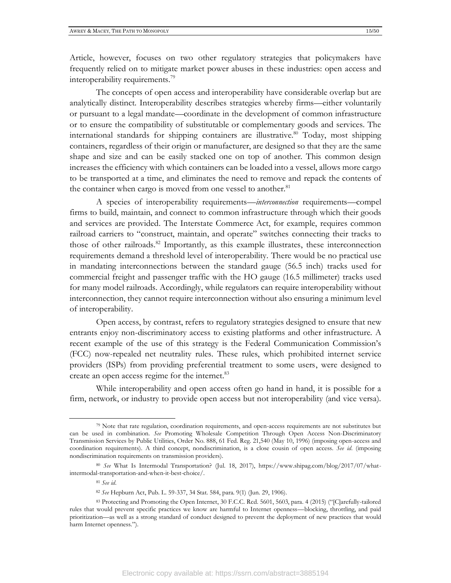Article, however, focuses on two other regulatory strategies that policymakers have frequently relied on to mitigate market power abuses in these industries: open access and interoperability requirements.<sup>79</sup>

The concepts of open access and interoperability have considerable overlap but are analytically distinct. Interoperability describes strategies whereby firms—either voluntarily or pursuant to a legal mandate—coordinate in the development of common infrastructure or to ensure the compatibility of substitutable or complementary goods and services. The international standards for shipping containers are illustrative. <sup>80</sup> Today, most shipping containers, regardless of their origin or manufacturer, are designed so that they are the same shape and size and can be easily stacked one on top of another. This common design increases the efficiency with which containers can be loaded into a vessel, allows more cargo to be transported at a time, and eliminates the need to remove and repack the contents of the container when cargo is moved from one vessel to another.<sup>81</sup>

A species of interoperability requirements—*interconnection* requirements—compel firms to build, maintain, and connect to common infrastructure through which their goods and services are provided. The Interstate Commerce Act, for example, requires common railroad carriers to "construct, maintain, and operate" switches connecting their tracks to those of other railroads.<sup>82</sup> Importantly, as this example illustrates, these interconnection requirements demand a threshold level of interoperability. There would be no practical use in mandating interconnections between the standard gauge (56.5 inch) tracks used for commercial freight and passenger traffic with the HO gauge (16.5 millimeter) tracks used for many model railroads. Accordingly, while regulators can require interoperability without interconnection, they cannot require interconnection without also ensuring a minimum level of interoperability.

Open access, by contrast, refers to regulatory strategies designed to ensure that new entrants enjoy non-discriminatory access to existing platforms and other infrastructure. A recent example of the use of this strategy is the Federal Communication Commission's (FCC) now-repealed net neutrality rules. These rules, which prohibited internet service providers (ISPs) from providing preferential treatment to some users, were designed to create an open access regime for the internet.<sup>83</sup>

While interoperability and open access often go hand in hand, it is possible for a firm, network, or industry to provide open access but not interoperability (and vice versa).

<sup>79</sup> Note that rate regulation, coordination requirements, and open-access requirements are not substitutes but can be used in combination. *See* Promoting Wholesale Competition Through Open Access Non-Discriminatory Transmission Services by Public Utilities, Order No. 888, 61 Fed. Reg. 21,540 (May 10, 1996) (imposing open-access and coordination requirements). A third concept, nondiscrimination, is a close cousin of open access. *See id*. (imposing nondiscrimination requirements on transmission providers).

<sup>80</sup> *See* What Is Intermodal Transportation? (Jul. 18, 2017), https://www.shipag.com/blog/2017/07/whatintermodal-transportation-and-when-it-best-choice/.

<sup>81</sup> *See id*.

<sup>82</sup> *See* Hepburn Act, Pub. L. 59-337, 34 Stat. 584, para. 9(1) (Jun. 29, 1906).

<sup>83</sup> Protecting and Promoting the Open Internet, 30 F.C.C. Rcd. 5601, 5603, para. 4 (2015) ("[C]arefully-tailored rules that would prevent specific practices we know are harmful to Internet openness—blocking, throttling, and paid prioritization—as well as a strong standard of conduct designed to prevent the deployment of new practices that would harm Internet openness.").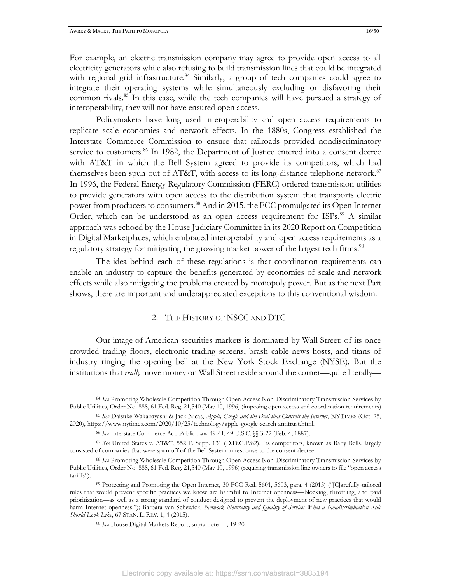For example, an electric transmission company may agree to provide open access to all electricity generators while also refusing to build transmission lines that could be integrated with regional grid infrastructure.<sup>84</sup> Similarly, a group of tech companies could agree to integrate their operating systems while simultaneously excluding or disfavoring their common rivals.<sup>85</sup> In this case, while the tech companies will have pursued a strategy of interoperability, they will not have ensured open access.

Policymakers have long used interoperability and open access requirements to replicate scale economies and network effects. In the 1880s, Congress established the Interstate Commerce Commission to ensure that railroads provided nondiscriminatory service to customers.<sup>86</sup> In 1982, the Department of Justice entered into a consent decree with AT&T in which the Bell System agreed to provide its competitors, which had themselves been spun out of AT&T, with access to its long-distance telephone network.<sup>87</sup> In 1996, the Federal Energy Regulatory Commission (FERC) ordered transmission utilities to provide generators with open access to the distribution system that transports electric power from producers to consumers.<sup>88</sup> And in 2015, the FCC promulgated its Open Internet Order, which can be understood as an open access requirement for ISPs.<sup>89</sup> A similar approach was echoed by the House Judiciary Committee in its 2020 Report on Competition in Digital Marketplaces, which embraced interoperability and open access requirements as a regulatory strategy for mitigating the growing market power of the largest tech firms.<sup>90</sup>

The idea behind each of these regulations is that coordination requirements can enable an industry to capture the benefits generated by economies of scale and network effects while also mitigating the problems created by monopoly power. But as the next Part shows, there are important and underappreciated exceptions to this conventional wisdom.

#### 2. THE HISTORY OF NSCC AND DTC

Our image of American securities markets is dominated by Wall Street: of its once crowded trading floors, electronic trading screens, brash cable news hosts, and titans of industry ringing the opening bell at the New York Stock Exchange (NYSE). But the institutions that *really* move money on Wall Street reside around the corner—quite literally—

<sup>84</sup> *See* Promoting Wholesale Competition Through Open Access Non-Discriminatory Transmission Services by Public Utilities, Order No. 888, 61 Fed. Reg. 21,540 (May 10, 1996) (imposing open-access and coordination requirements)

<sup>85</sup> *See* Daisuke Wakabayashi & Jack Nicas, *Apple, Google and the Deal that Controls the Internet*, NYTIMES (Oct. 25, 2020), https://www.nytimes.com/2020/10/25/technology/apple-google-search-antitrust.html.

<sup>86</sup> *See* Interstate Commerce Act, Public Law 49-41, 49 U.S.C. §§ 3-22 (Feb. 4, 1887).

<sup>87</sup> *See* United States v. AT&T, 552 F. Supp. 131 (D.D.C.1982). Its competitors, known as Baby Bells, largely consisted of companies that were spun off of the Bell System in response to the consent decree.

<sup>88</sup> *See* Promoting Wholesale Competition Through Open Access Non-Discriminatory Transmission Services by Public Utilities, Order No. 888, 61 Fed. Reg. 21,540 (May 10, 1996) (requiring transmission line owners to file "open access tariffs").

<sup>89</sup> Protecting and Promoting the Open Internet, 30 FCC Rcd. 5601, 5603, para. 4 (2015) ("[C]arefully-tailored rules that would prevent specific practices we know are harmful to Internet openness—blocking, throttling, and paid prioritization—as well as a strong standard of conduct designed to prevent the deployment of new practices that would harm Internet openness."); Barbara van Schewick, *Network Neutrality and Quality of Service: What a Nondiscrimination Rule Should Look Like*, 67 STAN. L. REV. 1, 4 (2015).

<sup>90</sup> *See* House Digital Markets Report, supra note \_\_, 19-20.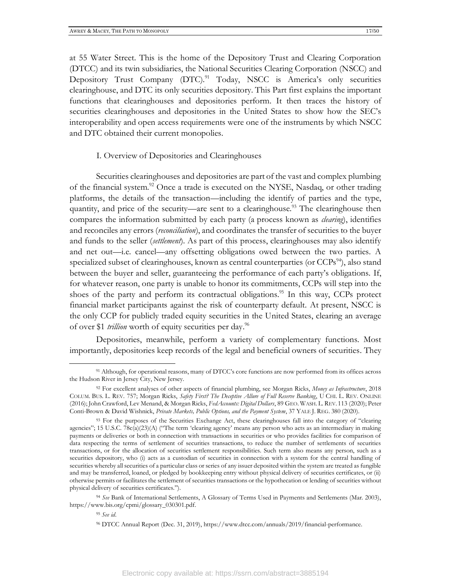at 55 Water Street. This is the home of the Depository Trust and Clearing Corporation (DTCC) and its twin subsidiaries, the National Securities Clearing Corporation (NSCC) and Depository Trust Company (DTC).<sup>91</sup> Today, NSCC is America's only securities clearinghouse, and DTC its only securities depository. This Part first explains the important functions that clearinghouses and depositories perform. It then traces the history of securities clearinghouses and depositories in the United States to show how the SEC's interoperability and open access requirements were one of the instruments by which NSCC and DTC obtained their current monopolies.

#### I. Overview of Depositories and Clearinghouses

Securities clearinghouses and depositories are part of the vast and complex plumbing of the financial system.<sup>92</sup> Once a trade is executed on the NYSE, Nasdaq, or other trading platforms, the details of the transaction—including the identify of parties and the type, quantity, and price of the security—are sent to a clearinghouse.<sup>93</sup> The clearinghouse then compares the information submitted by each party (a process known as *clearing*), identifies and reconciles any errors (*reconciliation*), and coordinates the transfer of securities to the buyer and funds to the seller (*settlement*). As part of this process, clearinghouses may also identify and net out—i.e. cancel—any offsetting obligations owed between the two parties. A specialized subset of clearinghouses, known as central counterparties (or CCPs<sup>94</sup>), also stand between the buyer and seller, guaranteeing the performance of each party's obligations. If, for whatever reason, one party is unable to honor its commitments, CCPs will step into the shoes of the party and perform its contractual obligations. <sup>95</sup> In this way, CCPs protect financial market participants against the risk of counterparty default. At present, NSCC is the only CCP for publicly traded equity securities in the United States, clearing an average of over \$1 *trillion* worth of equity securities per day. 96

Depositories, meanwhile, perform a variety of complementary functions. Most importantly, depositories keep records of the legal and beneficial owners of securities. They

<sup>91</sup> Although, for operational reasons, many of DTCC's core functions are now performed from its offices across the Hudson River in Jersey City, New Jersey.

<sup>92</sup> For excellent analyses of other aspects of financial plumbing, see Morgan Ricks, *Money as Infrastructure*, 2018 COLUM. BUS. L. REV. 757; Morgan Ricks, *Safety First? The Deceptive Allure of Full Reserve Banking*, U CHI. L. REV. ONLINE (2016); John Crawford, Lev Menand, & Morgan Ricks, *FedAccounts: Digital Dollars*, 89 GEO. WASH. L. REV. 113 (2020); Peter Conti-Brown & David Wishnick, *Private Markets, Public Options, and the Payment System*, 37 YALE J. REG. 380 (2020).

<sup>93</sup> For the purposes of the Securities Exchange Act, these clearinghouses fall into the category of "clearing agencies"; 15 U.S.C. 78c(a)(23)(A) ("The term 'clearing agency' means any person who acts as an intermediary in making payments or deliveries or both in connection with transactions in securities or who provides facilities for comparison of data respecting the terms of settlement of securities transactions, to reduce the number of settlements of securities transactions, or for the allocation of securities settlement responsibilities. Such term also means any person, such as a securities depository, who (i) acts as a custodian of securities in connection with a system for the central handling of securities whereby all securities of a particular class or series of any issuer deposited within the system are treated as fungible and may be transferred, loaned, or pledged by bookkeeping entry without physical delivery of securities certificates, or (ii) otherwise permits or facilitates the settlement of securities transactions or the hypothecation or lending of securities without physical delivery of securities certificates.").

<sup>94</sup> *See* Bank of International Settlements, A Glossary of Terms Used in Payments and Settlements (Mar. 2003), https://www.bis.org/cpmi/glossary\_030301.pdf.

<sup>95</sup> *See id*.

<sup>96</sup> DTCC Annual Report (Dec. 31, 2019), https://www.dtcc.com/annuals/2019/financial-performance.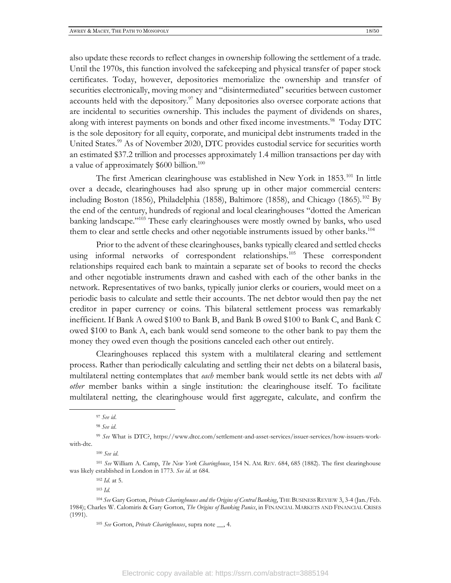also update these records to reflect changes in ownership following the settlement of a trade. Until the 1970s, this function involved the safekeeping and physical transfer of paper stock certificates. Today, however, depositories memorialize the ownership and transfer of securities electronically, moving money and "disintermediated" securities between customer accounts held with the depository.<sup>97</sup> Many depositories also oversee corporate actions that are incidental to securities ownership. This includes the payment of dividends on shares, along with interest payments on bonds and other fixed income investments.<sup>98</sup> Today DTC is the sole depository for all equity, corporate, and municipal debt instruments traded in the United States.<sup>99</sup> As of November 2020, DTC provides custodial service for securities worth an estimated \$37.2 trillion and processes approximately 1.4 million transactions per day with a value of approximately \$600 billion.<sup>100</sup>

The first American clearinghouse was established in New York in 1853.<sup>101</sup> In little over a decade, clearinghouses had also sprung up in other major commercial centers: including Boston (1856), Philadelphia (1858), Baltimore (1858), and Chicago (1865).<sup>102</sup> By the end of the century, hundreds of regional and local clearinghouses "dotted the American banking landscape." <sup>103</sup> These early clearinghouses were mostly owned by banks, who used them to clear and settle checks and other negotiable instruments issued by other banks.<sup>104</sup>

Prior to the advent of these clearinghouses, banks typically cleared and settled checks using informal networks of correspondent relationships.<sup>105</sup> These correspondent relationships required each bank to maintain a separate set of books to record the checks and other negotiable instruments drawn and cashed with each of the other banks in the network. Representatives of two banks, typically junior clerks or couriers, would meet on a periodic basis to calculate and settle their accounts. The net debtor would then pay the net creditor in paper currency or coins. This bilateral settlement process was remarkably inefficient. If Bank A owed \$100 to Bank B, and Bank B owed \$100 to Bank C, and Bank C owed \$100 to Bank A, each bank would send someone to the other bank to pay them the money they owed even though the positions canceled each other out entirely.

Clearinghouses replaced this system with a multilateral clearing and settlement process. Rather than periodically calculating and settling their net debts on a bilateral basis, multilateral netting contemplates that *each* member bank would settle its net debts with *all other* member banks within a single institution: the clearinghouse itself. To facilitate multilateral netting, the clearinghouse would first aggregate, calculate, and confirm the

<sup>100</sup> *See id*.

<sup>97</sup> *See id*.

<sup>98</sup> *See id*.

<sup>99</sup> *See* What is DTC?, https://www.dtcc.com/settlement-and-asset-services/issuer-services/how-issuers-workwith-dtc.

<sup>101</sup> *See* William A. Camp, *The New York Clearinghouse*, 154 N. AM. REV. 684, 685 (1882). The first clearinghouse was likely established in London in 1773. *See id*. at 684.

<sup>102</sup> *Id*. at 5.

<sup>103</sup> *Id.*

<sup>104</sup> *See* Gary Gorton, *Private Clearinghouses and the Origins of Central Banking*, THE BUSINESS REVIEW 3, 3-4 (Jan./Feb. 1984); Charles W. Calomiris & Gary Gorton, *The Origins of Banking Panics*, in FINANCIAL MARKETS AND FINANCIAL CRISES (1991).

<sup>105</sup> *See* Gorton, *Private Clearinghouses*, supra note \_\_, 4.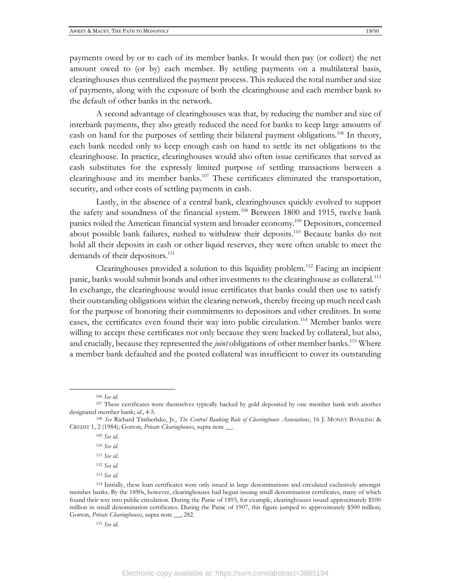payments owed by or to each of its member banks. It would then pay (or collect) the net amount owed to (or by) each member. By settling payments on a multilateral basis, clearinghouses thus centralized the payment process. This reduced the total number and size of payments, along with the exposure of both the clearinghouse and each member bank to the default of other banks in the network.

A second advantage of clearinghouses was that, by reducing the number and size of interbank payments, they also greatly reduced the need for banks to keep large amounts of cash on hand for the purposes of settling their bilateral payment obligations.<sup>106</sup> In theory, each bank needed only to keep enough cash on hand to settle its net obligations to the clearinghouse. In practice, clearinghouses would also often issue certificates that served as cash substitutes for the expressly limited purpose of settling transactions between a clearinghouse and its member banks.<sup>107</sup> These certificates eliminated the transportation, security, and other costs of settling payments in cash.

Lastly, in the absence of a central bank, clearinghouses quickly evolved to support the safety and soundness of the financial system.<sup>108</sup> Between 1800 and 1915, twelve bank panics roiled the American financial system and broader economy.<sup>109</sup> Depositors, concerned about possible bank failures, rushed to withdraw their deposits.<sup>110</sup> Because banks do not hold all their deposits in cash or other liquid reserves, they were often unable to meet the demands of their depositors.<sup>111</sup>

Clearinghouses provided a solution to this liquidity problem.<sup>112</sup> Facing an incipient panic, banks would submit bonds and other investments to the clearinghouse as collateral.<sup>113</sup> In exchange, the clearinghouse would issue certificates that banks could then use to satisfy their outstanding obligations within the clearing network, thereby freeing up much need cash for the purpose of honoring their commitments to depositors and other creditors. In some cases, the certificates even found their way into public circulation.<sup>114</sup> Member banks were willing to accept these certificates not only because they were backed by collateral, but also, and crucially, because they represented the *joint* obligations of other member banks.<sup>115</sup> Where a member bank defaulted and the posted collateral was insufficient to cover its outstanding

- <sup>112</sup> *See id.*
- <sup>113</sup> *See id.*

<sup>106</sup> *See id.*

<sup>&</sup>lt;sup>107</sup> These certificates were themselves typically backed by gold deposited by one member bank with another designated member bank; *id.*, 4-5.

<sup>108</sup> *See* Richard Timberlake, Jr., *The Central Banking Role of Clearinghouse Associations*, 16 J. MONEY BANKING & CREDIT 1, 2 (1984); Gorton, *Private Clearinghouses*, supra note \_\_.

<sup>109</sup> *See id*.

<sup>110</sup> *See id*.

<sup>111</sup> *See id*.

<sup>114</sup> Initially, these loan certificates were only issued in large denominations and circulated exclusively amongst member banks. By the 1890s, however, clearinghouses had begun issuing small denomination certificates, many of which found their way into public circulation. During the Panic of 1893, for example, clearinghouses issued approximately \$100 million in small denomination certificates. During the Panic of 1907, this figure jumped to approximately \$500 million; Gorton, *Private Clearinghouses*, supra note \_\_, 282.

<sup>115</sup> *See id*.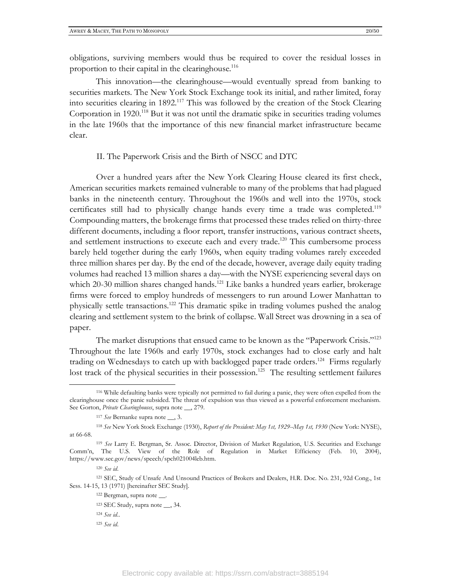obligations, surviving members would thus be required to cover the residual losses in proportion to their capital in the clearinghouse.<sup>116</sup>

This innovation—the clearinghouse—would eventually spread from banking to securities markets. The New York Stock Exchange took its initial, and rather limited, foray into securities clearing in 1892.<sup>117</sup> This was followed by the creation of the Stock Clearing Corporation in 1920.<sup>118</sup> But it was not until the dramatic spike in securities trading volumes in the late 1960s that the importance of this new financial market infrastructure became clear.

#### II. The Paperwork Crisis and the Birth of NSCC and DTC

Over a hundred years after the New York Clearing House cleared its first check, American securities markets remained vulnerable to many of the problems that had plagued banks in the nineteenth century. Throughout the 1960s and well into the 1970s, stock certificates still had to physically change hands every time a trade was completed.<sup>119</sup> Compounding matters, the brokerage firms that processed these trades relied on thirty-three different documents, including a floor report, transfer instructions, various contract sheets, and settlement instructions to execute each and every trade.<sup>120</sup> This cumbersome process barely held together during the early 1960s, when equity trading volumes rarely exceeded three million shares per day. By the end of the decade, however, average daily equity trading volumes had reached 13 million shares a day—with the NYSE experiencing several days on which 20-30 million shares changed hands.<sup>121</sup> Like banks a hundred years earlier, brokerage firms were forced to employ hundreds of messengers to run around Lower Manhattan to physically settle transactions.<sup>122</sup> This dramatic spike in trading volumes pushed the analog clearing and settlement system to the brink of collapse. Wall Street was drowning in a sea of paper.

The market disruptions that ensued came to be known as the "Paperwork Crisis."<sup>123</sup> Throughout the late 1960s and early 1970s, stock exchanges had to close early and halt trading on Wednesdays to catch up with backlogged paper trade orders.<sup>124</sup> Firms regularly lost track of the physical securities in their possession.<sup>125</sup> The resulting settlement failures

<sup>116</sup> While defaulting banks were typically not permitted to fail during a panic, they were often expelled from the clearinghouse once the panic subsided. The threat of expulsion was thus viewed as a powerful enforcement mechanism. See Gorton, *Private Clearinghouses*, supra note \_\_, 279.

<sup>117</sup> *See* Bernanke supra note \_\_, 3.

<sup>118</sup> *See* New York Stock Exchange (1930), *Report of the President: May 1st, 1929--May 1st, 1930* (New York: NYSE), at 66-68.

<sup>119</sup> *See* Larry E. Bergman, Sr. Assoc. Director, Division of Market Regulation, U.S. Securities and Exchange Comm'n, The U.S. View of the Role of Regulation in Market Efficiency (Feb. 10, 2004), https://www.sec.gov/news/speech/spch021004leb.htm.

<sup>120</sup> *See id*.

<sup>121</sup> SEC, Study of Unsafe And Unsound Practices of Brokers and Dealers, H.R. Doc. No. 231, 92d Cong., 1st Sess. 14-15, 13 (1971) [hereinafter SEC Study].

<sup>122</sup> Bergman, supra note \_\_.

<sup>123</sup> SEC Study, supra note \_\_, 34.

<sup>124</sup> *See id*..

<sup>125</sup> *See id*.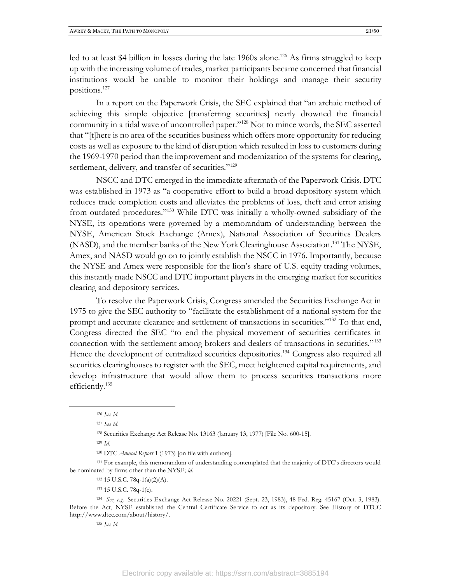positions.<sup>127</sup>

In a report on the Paperwork Crisis, the SEC explained that "an archaic method of achieving this simple objective [transferring securities] nearly drowned the financial community in a tidal wave of uncontrolled paper."<sup>128</sup> Not to mince words, the SEC asserted that "[t]here is no area of the securities business which offers more opportunity for reducing costs as well as exposure to the kind of disruption which resulted in loss to customers during the 1969-1970 period than the improvement and modernization of the systems for clearing, settlement, delivery, and transfer of securities."<sup>129</sup>

NSCC and DTC emerged in the immediate aftermath of the Paperwork Crisis. DTC was established in 1973 as "a cooperative effort to build a broad depository system which reduces trade completion costs and alleviates the problems of loss, theft and error arising from outdated procedures."<sup>130</sup> While DTC was initially a wholly-owned subsidiary of the NYSE, its operations were governed by a memorandum of understanding between the NYSE, American Stock Exchange (Amex), National Association of Securities Dealers (NASD), and the member banks of the New York Clearinghouse Association. <sup>131</sup> The NYSE, Amex, and NASD would go on to jointly establish the NSCC in 1976. Importantly, because the NYSE and Amex were responsible for the lion's share of U.S. equity trading volumes, this instantly made NSCC and DTC important players in the emerging market for securities clearing and depository services.

To resolve the Paperwork Crisis, Congress amended the Securities Exchange Act in 1975 to give the SEC authority to "facilitate the establishment of a national system for the prompt and accurate clearance and settlement of transactions in securities."<sup>132</sup> To that end, Congress directed the SEC "to end the physical movement of securities certificates in connection with the settlement among brokers and dealers of transactions in securities."<sup>133</sup> Hence the development of centralized securities depositories.<sup>134</sup> Congress also required all securities clearinghouses to register with the SEC, meet heightened capital requirements, and develop infrastructure that would allow them to process securities transactions more efficiently.<sup>135</sup>

<sup>129</sup> *Id.*

<sup>131</sup> For example, this memorandum of understanding contemplated that the majority of DTC's directors would be nominated by firms other than the NYSE; *id.*

<sup>132</sup> 15 U.S.C. 78q-1(a)(2)(A).

<sup>133</sup> 15 U.S.C. 78q-1(e).

<sup>134</sup> *See, e.g.* Securities Exchange Act Release No. 20221 (Sept. 23, 1983), 48 Fed. Reg. 45167 (Oct. 3, 1983). Before the Act, NYSE established the Central Certificate Service to act as its depository. See History of DTCC http://www.dtcc.com/about/history/.

<sup>135</sup> *See id*.

<sup>126</sup> *See id*.

<sup>127</sup> *See id*.

<sup>128</sup> Securities Exchange Act Release No. 13163 (January 13, 1977) [File No. 600-15].

<sup>130</sup> DTC *Annual Report* 1 (1973) [on file with authors].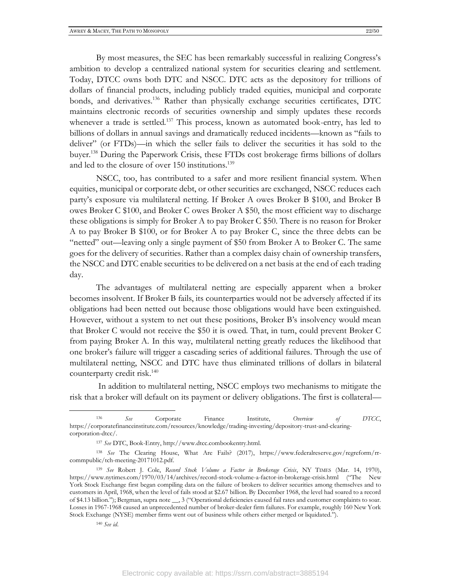By most measures, the SEC has been remarkably successful in realizing Congress's ambition to develop a centralized national system for securities clearing and settlement. Today, DTCC owns both DTC and NSCC. DTC acts as the depository for trillions of dollars of financial products, including publicly traded equities, municipal and corporate bonds, and derivatives.<sup>136</sup> Rather than physically exchange securities certificates, DTC maintains electronic records of securities ownership and simply updates these records whenever a trade is settled.<sup>137</sup> This process, known as automated book-entry, has led to billions of dollars in annual savings and dramatically reduced incidents—known as "fails to deliver" (or FTDs)—in which the seller fails to deliver the securities it has sold to the buyer. <sup>138</sup> During the Paperwork Crisis, these FTDs cost brokerage firms billions of dollars and led to the closure of over 150 institutions. 139

NSCC, too, has contributed to a safer and more resilient financial system. When equities, municipal or corporate debt, or other securities are exchanged, NSCC reduces each party's exposure via multilateral netting. If Broker A owes Broker B \$100, and Broker B owes Broker C \$100, and Broker C owes Broker A \$50, the most efficient way to discharge these obligations is simply for Broker A to pay Broker C \$50. There is no reason for Broker A to pay Broker B \$100, or for Broker A to pay Broker C, since the three debts can be "netted" out—leaving only a single payment of \$50 from Broker A to Broker C. The same goes for the delivery of securities. Rather than a complex daisy chain of ownership transfers, the NSCC and DTC enable securities to be delivered on a net basis at the end of each trading day.

The advantages of multilateral netting are especially apparent when a broker becomes insolvent. If Broker B fails, its counterparties would not be adversely affected if its obligations had been netted out because those obligations would have been extinguished. However, without a system to net out these positions, Broker B's insolvency would mean that Broker C would not receive the \$50 it is owed. That, in turn, could prevent Broker C from paying Broker A. In this way, multilateral netting greatly reduces the likelihood that one broker's failure will trigger a cascading series of additional failures. Through the use of multilateral netting, NSCC and DTC have thus eliminated trillions of dollars in bilateral counterparty credit risk.<sup>140</sup>

In addition to multilateral netting, NSCC employs two mechanisms to mitigate the risk that a broker will default on its payment or delivery obligations. The first is collateral—

<sup>140</sup> *See id*.

<sup>136</sup> *See* Corporate Finance Institute, *Overview of DTCC*, https://corporatefinanceinstitute.com/resources/knowledge/trading-investing/depository-trust-and-clearingcorporation-dtcc/.

<sup>137</sup> *See* DTC, Book-Entry, http://www.dtcc.combookentry.html.

<sup>138</sup> *See* The Clearing House, What Are Fails? (2017), https://www.federalreserve.gov/regreform/rrcommpublic/tch-meeting-20171012.pdf.

<sup>139</sup> *See* Robert J. Cole, *Record Stock Volume a Factor in Brokerage Crisis*, NY TIMES (Mar. 14, 1970), https://www.nytimes.com/1970/03/14/archives/record-stock-volume-a-factor-in-brokerage-crisis.html ("The New York Stock Exchange first began compiling data on the failure of brokers to deliver securities among themselves and to customers in April, 1968, when the level of fails stood at \$2.67 billion. By December 1968, the level had soared to a record of \$4.13 billion."); Bergman, supra note \_\_, 3 ("Operational deficiencies caused fail rates and customer complaints to soar. Losses in 1967-1968 caused an unprecedented number of broker-dealer firm failures. For example, roughly 160 New York Stock Exchange (NYSE) member firms went out of business while others either merged or liquidated.").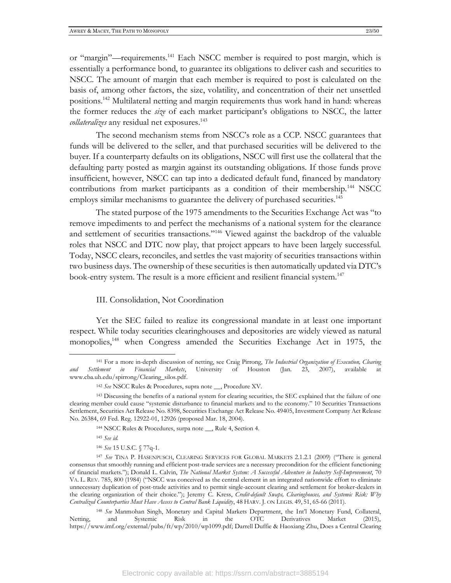or "margin"—requirements.<sup>141</sup> Each NSCC member is required to post margin, which is essentially a performance bond, to guarantee its obligations to deliver cash and securities to NSCC. The amount of margin that each member is required to post is calculated on the basis of, among other factors, the size, volatility, and concentration of their net unsettled positions.<sup>142</sup> Multilateral netting and margin requirements thus work hand in hand: whereas the former reduces the *size* of each market participant's obligations to NSCC, the latter *collateralizes* any residual net exposures. 143

The second mechanism stems from NSCC's role as a CCP. NSCC guarantees that funds will be delivered to the seller, and that purchased securities will be delivered to the buyer. If a counterparty defaults on its obligations, NSCC will first use the collateral that the defaulting party posted as margin against its outstanding obligations. If those funds prove insufficient, however, NSCC can tap into a dedicated default fund, financed by mandatory contributions from market participants as a condition of their membership.<sup>144</sup> NSCC employs similar mechanisms to guarantee the delivery of purchased securities.<sup>145</sup>

The stated purpose of the 1975 amendments to the Securities Exchange Act was "to remove impediments to and perfect the mechanisms of a national system for the clearance and settlement of securities transactions."<sup>146</sup> Viewed against the backdrop of the valuable roles that NSCC and DTC now play, that project appears to have been largely successful. Today, NSCC clears, reconciles, and settles the vast majority of securities transactions within two business days. The ownership of these securities is then automatically updated via DTC's book-entry system. The result is a more efficient and resilient financial system.<sup>147</sup>

#### III. Consolidation, Not Coordination

Yet the SEC failed to realize its congressional mandate in at least one important respect. While today securities clearinghouses and depositories are widely viewed as natural monopolies,<sup>148</sup> when Congress amended the Securities Exchange Act in 1975, the

<sup>141</sup> For a more in-depth discussion of netting, see Craig Pirrong, *The Industrial Organization of Execution, Clearing and Settlement in Financial Markets*, University of Houston (Jan. 23, 2007), available at www.cba.uh.edu/spirrong/Clearing\_silos.pdf.

<sup>142</sup> *See* NSCC Rules & Procedures, supra note \_\_, Procedure XV.

<sup>143</sup> Discussing the benefits of a national system for clearing securities, the SEC explained that the failure of one clearing member could cause "systemic disturbance to financial markets and to the economy." 10 Securities Transactions Settlement, Securities Act Release No. 8398, Securities Exchange Act Release No. 49405, Investment Company Act Release No. 26384, 69 Fed. Reg. 12922-01, 12926 (proposed Mar. 18, 2004).

<sup>144</sup> NSCC Rules & Procedures, surpa note \_\_, Rule 4, Section 4.

<sup>145</sup> *See id.*

<sup>146</sup> *See* 15 U.S.C. § 77q-1.

<sup>147</sup> *See* TINA P. HASENPUSCH, CLEARING SERVICES FOR GLOBAL MARKETS 2.1.2.1 (2009) ("There is general consensus that smoothly running and efficient post-trade services are a necessary precondition for the efficient functioning of financial markets."); Donald L. Calvin, *The National Market System: A Successful Adventure in Industry Self-Improvement*, 70 VA. L. REV. 785, 800 (1984) ("NSCC was conceived as the central element in an integrated nationwide effort to eliminate unnecessary duplication of post-trade activities and to permit single-account clearing and settlement for broker-dealers in the clearing organization of their choice."); Jeremy C. Kress, *Credit-default Swaps, Clearinghouses, and Systemic Risk: Why Centralized Counterparties Must Have Access to Central Bank Liquidity*, 48 HARV. J. ON LEGIS. 49, 51, 65-66 (2011).

<sup>148</sup> *See* Manmohan Singh, Monetary and Capital Markets Department, the Int'l Monetary Fund, Collateral, Netting, and Systemic Risk in the OTC Derivatives Market (2015), https://www.imf.org/external/pubs/ft/wp/2010/wp1099.pdf; Darrell Duffie & Haoxiang Zhu, Does a Central Clearing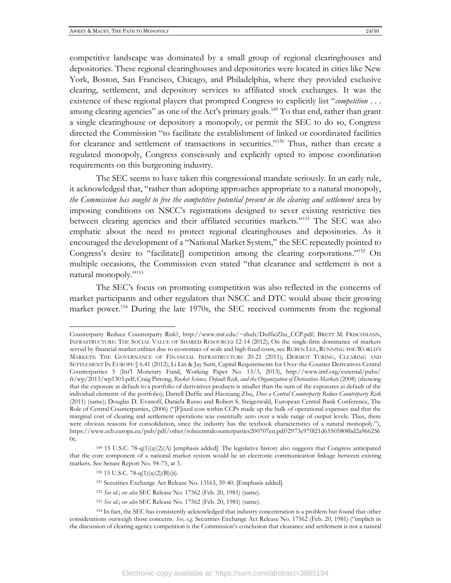competitive landscape was dominated by a small group of regional clearinghouses and depositories. These regional clearinghouses and depositories were located in cities like New York, Boston, San Francisco, Chicago, and Philadelphia, where they provided exclusive clearing, settlement, and depository services to affiliated stock exchanges. It was the existence of these regional players that prompted Congress to explicitly list "*competition* . . . among clearing agencies" as one of the Act's primary goals.<sup>149</sup> To that end, rather than grant a single clearinghouse or depository a monopoly, or permit the SEC to do so, Congress directed the Commission "to facilitate the establishment of linked or coordinated facilities for clearance and settlement of transactions in securities."<sup>150</sup> Thus, rather than create a regulated monopoly, Congress consciously and explicitly opted to impose coordination requirements on this burgeoning industry.

The SEC seems to have taken this congressional mandate seriously. In an early rule, it acknowledged that, "rather than adopting approaches appropriate to a natural monopoly, *the Commission has sought to free the competitive potential present in the clearing and settlement* area by imposing conditions on NSCC's registrations designed to sever existing restrictive ties between clearing agencies and their affiliated securities markets."<sup>151</sup> The SEC was also emphatic about the need to protect regional clearinghouses and depositories. As it encouraged the development of a "National Market System," the SEC repeatedly pointed to Congress's desire to "facilitate<sup>[]</sup> competition among the clearing corporations."<sup>152</sup> On multiple occasions, the Commission even stated "that clearance and settlement is not a natural monopoly."<sup>153</sup>

The SEC's focus on promoting competition was also reflected in the concerns of market participants and other regulators that NSCC and DTC would abuse their growing market power.<sup>154</sup> During the late 1970s, the SEC received comments from the regional

Counterparty Reduce Counterparty Risk?, http://www.mit.edu/~zhuh/DuffieZhu\_CCP.pdf; BRETT M. FRISCHMANN, INFRASTRUCTURE: THE SOCIAL VALUE OF SHARED RESOURCES 12-14 (2012); On the single-firm dominance of markets served by financial market utilities due to economies of scale and high fixed costs, see RUBEN LEE, RUNNING THE WORLD'S MARKETS: THE GOVERNANCE OF FINANCIAL INFRASTRUCTURE 20-21 (2011); DERMOT TURING, CLEARING AND SETTLEMENT IN EUROPE § 6.41 (2012); Li Lin & Jay Surti, Capital Requirements for Over-the-Counter Derivatives Central Counterparties 5 (Int'l Monetary Fund, Working Paper No. 13/3, 2013), http://www.imf.org/external/pubs/ ft/wp/2013/wp1303.pdf; Craig Pirrong, *Rocket Science, Default Risk, and the Organization of Derivatives Markets* (2008) (showing that the exposure at default to a portfolio of derivatives products is smaller than the sum of the exposures at default of the individual elements of the portfolio); Darrell Duffie and Haoxiang Zhu, *Does a Central Counterparty Reduce Counterparty Risk* (2011) (same); Douglas D. Evanoff, Daniela Russo and Robert S. Steigerwald, European Central Bank Conference, The Role of Central Counterparties, (2006) ("[F]ixed cost within CCPs made up the bulk of operational expenses and that the marginal cost of clearing and settlement operations was essentially zero over a wide range of output levels. Thus, there were obvious reasons for consolidation, since the industry has the textbook characteristics of a natural monopoly."), https://www.ecb.europa.eu/pub/pdf/other/rolecentralcounterparties200707en.pdf?2973e97f821d65505808bd2a966256 0e.

<sup>149</sup> 15 U.S.C. 78-q(1)(a)(2)(A) [emphasis added]. The legislative history also suggests that Congress anticipated that the core component of a national market system would be an electronic communication linkage between existing markets. See Senate Report No. 94-75, at 3.

<sup>150</sup> 15 U.S.C. 78-q(1)(a)(2)(B)(ii).

<sup>151</sup> Securities Exchange Act Release No. 13163, 39-40. [Emphasis added].

<sup>152</sup> *See id*.; *see also* SEC Release No. 17562 (Feb. 20, 1981) (same).

<sup>153</sup> *See id*.; *see also* SEC Release No. 17562 (Feb. 20, 1981) (same).

<sup>154</sup> In fact, the SEC has consistently acknowledged that industry concentration is a problem but found that other considerations outweigh those concerns. *See, e.g.* Securities Exchange Act Release No. 17562 (Feb. 20, 1981) ("implicit in the discussion of clearing agency competition is the Commission's conclusion that clearance and settlement is not a natural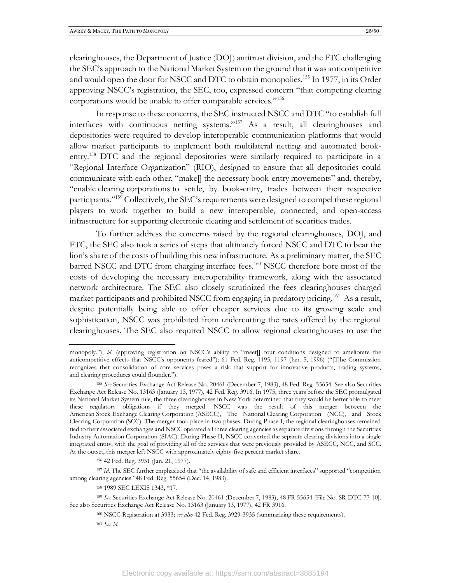clearinghouses, the Department of Justice (DOJ) antitrust division, and the FTC challenging the SEC's approach to the National Market System on the ground that it was anticompetitive and would open the door for NSCC and DTC to obtain monopolies.<sup>155</sup> In 1977, in its Order approving NSCC's registration, the SEC, too, expressed concern "that competing clearing corporations would be unable to offer comparable services."<sup>156</sup>

In response to these concerns, the SEC instructed NSCC and DTC "to establish full interfaces with continuous netting systems."<sup>157</sup> As a result, all clearinghouses and depositories were required to develop interoperable communication platforms that would allow market participants to implement both multilateral netting and automated bookentry.<sup>158</sup> DTC and the regional depositories were similarly required to participate in a "Regional Interface Organization" (RIO), designed to ensure that all depositories could communicate with each other, "make[] the necessary book-entry movements" and, thereby, "enable clearing corporations to settle, by book-entry, trades between their respective participants."<sup>159</sup> Collectively, the SEC's requirements were designed to compel these regional players to work together to build a new interoperable, connected, and open-access infrastructure for supporting electronic clearing and settlement of securities trades.

To further address the concerns raised by the regional clearinghouses, DOJ, and FTC, the SEC also took a series of steps that ultimately forced NSCC and DTC to bear the lion's share of the costs of building this new infrastructure. As a preliminary matter, the SEC barred NSCC and DTC from charging interface fees.<sup>160</sup> NSCC therefore bore most of the costs of developing the necessary interoperability framework, along with the associated network architecture. The SEC also closely scrutinized the fees clearinghouses charged market participants and prohibited NSCC from engaging in predatory pricing.<sup>161</sup> As a result, despite potentially being able to offer cheaper services due to its growing scale and sophistication, NSCC was prohibited from undercutting the rates offered by the regional clearinghouses. The SEC also required NSCC to allow regional clearinghouses to use the

<sup>157</sup> *Id*. The SEC further emphasized that "the availability of safe and efficient interfaces" supported "competition among clearing agencies."48 Fed. Reg. 55654 (Dec. 14, 1983).

monopoly."); *id.* (approving registration on NSCC's ability to "meet[] four conditions designed to ameliorate the anticompetitive effects that NSCC's opponents feared"); 61 Fed. Reg. 1195, 1197 (Jan. 5, 1996) ("[T]he Commission recognizes that consolidation of core services poses a risk that support for innovative products, trading systems, and clearing procedures could flounder.").

<sup>155</sup> *See* Securities Exchange Act Release No. 20461 (December 7, 1983), 48 Fed. Reg. 55654. See also Securities Exchange Act Release No. 13163 (January 13, 1977), 42 Fed. Reg. 3916. In 1975, three years before the SEC promulgated its National Market System rule, the three clearinghouses in New York determined that they would be better able to meet these regulatory obligations if they merged. NSCC was the result of this merger between the American Stock Exchange Clearing Corporation (ASECC), The National Clearing Corporation (NCC), and Stock Clearing Corporation (SCC). The merger took place in two phases. During Phase I, the regional clearinghouses remained tied to their associated exchanges and NSCC operated all three clearing agencies as separate divisions through the Securities Industry Automation Corporation (SIAC). During Phase II, NSCC converted the separate clearing divisions into a single integrated entity, with the goal of providing all of the services that were previously provided by ASECC, NCC, and SCC. At the outset, this merger left NSCC with approximately eighty-five percent market share.

<sup>156</sup> 42 Fed. Reg. 3931 (Jan. 21, 1977).

<sup>158</sup> 1989 SEC LEXIS 1343, \*17.

<sup>159</sup> *See* Securities Exchange Act Release No. 20461 (December 7, 1983), 48 FR 55654 [File No. SR-DTC-77-10]. See also Securities Exchange Act Release No. 13163 (January 13, 1977), 42 FR 3916.

<sup>160</sup> NSCC Registration at 3933; *see also* 42 Fed. Reg. 3929-3935 (summarizing these requirements).

<sup>161</sup> *See id.*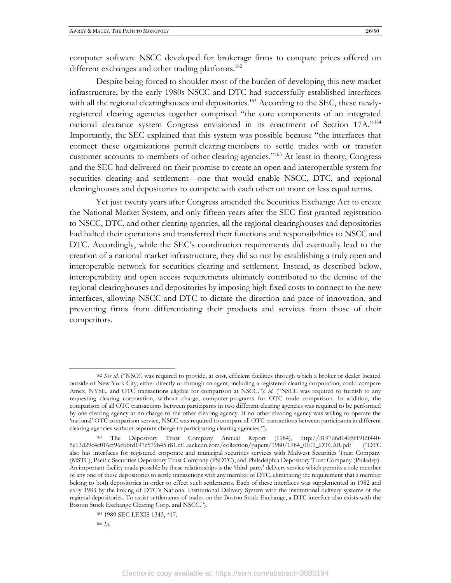computer software NSCC developed for brokerage firms to compare prices offered on different exchanges and other trading platforms.<sup>162</sup>

Despite being forced to shoulder most of the burden of developing this new market infrastructure, by the early 1980s NSCC and DTC had successfully established interfaces with all the regional clearinghouses and depositories.<sup>163</sup> According to the SEC, these newlyregistered clearing agencies together comprised "the core components of an integrated national clearance system Congress envisioned in its enactment of Section 17A."<sup>164</sup> Importantly, the SEC explained that this system was possible because "the interfaces that connect these organizations permit clearing members to settle trades with or transfer customer accounts to members of other clearing agencies."<sup>165</sup> At least in theory, Congress and the SEC had delivered on their promise to create an open and interoperable system for securities clearing and settlement—one that would enable NSCC, DTC, and regional clearinghouses and depositories to compete with each other on more or less equal terms.

Yet just twenty years after Congress amended the Securities Exchange Act to create the National Market System, and only fifteen years after the SEC first granted registration to NSCC, DTC, and other clearing agencies, all the regional clearinghouses and depositories had halted their operations and transferred their functions and responsibilities to NSCC and DTC. Accordingly, while the SEC's coordination requirements did eventually lead to the creation of a national market infrastructure, they did so not by establishing a truly open and interoperable network for securities clearing and settlement. Instead, as described below, interoperability and open access requirements ultimately contributed to the demise of the regional clearinghouses and depositories by imposing high fixed costs to connect to the new interfaces, allowing NSCC and DTC to dictate the direction and pace of innovation, and preventing firms from differentiating their products and services from those of their competitors.

<sup>&</sup>lt;sup>162</sup> See id. ("NSCC was required to provide, at cost, efficient facilities through which a broker or dealer located outside of New York City, either directly or through an agent, including a registered clearing corporation, could compare Amex, NYSE, and OTC transactions eligible for comparison at NSCC."); *id.* ("NSCC was required to furnish to any requesting clearing corporation, without charge, computer programs for OTC trade comparison. In addition, the comparison of all OTC transactions between participants in two different clearing agencies was required to be performed by one clearing agency at no charge to the other clearing agency. If no other clearing agency was willing to operate the 'national' OTC comparison service, NSCC was required to compare all OTC transactions between participants in different clearing agencies without separate charge to participating clearing agencies.").

<sup>163</sup> The Depository Trust Company Annual Report (1984), http://3197d6d14b5f19f2f440- 5e13d29c4c016cf96cbbfd197c579b45.r81.cf1.rackcdn.com/collection/papers/1980/1984\_0101\_DTCAR.pdf ("DTC also has interfaces for registered corporate and municipal securities services with Midwest Securities Trust Company (MSTC), Pacific Securities Depository Trust Company (PSDTC), and Philadelphia Depository Trust Company (Philadep). An important facility made possible by these relationships is the 'third-party' delivery service which permits a sole member of any one of these depositories to settle transactions with any member of DTC, eliminating the requirement that a member belong to both depositories in order to effect such settlements. Each of these interfaces was supplemented in 1982 and early 1983 by the linking of DTC's National Institutional Delivery System with the institutional delivery systems of the regional depositories. To assist settlements of trades on the Boston Stock Exchange, a DTC interface also exists with the Boston Stock Exchange Clearing Corp. and NSCC.").

<sup>164</sup> 1989 SEC LEXIS 1343, \*17.

<sup>165</sup> *Id*.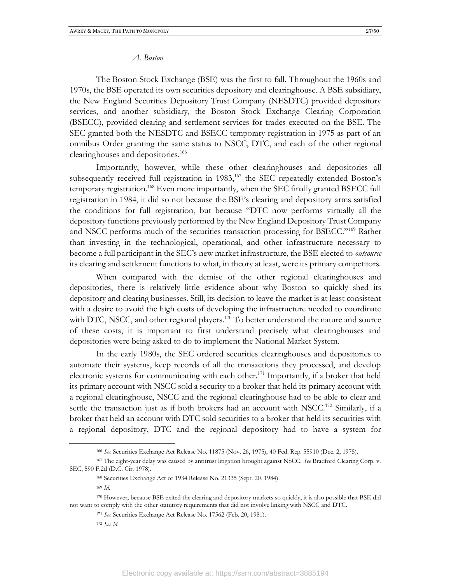#### *A. Boston*

The Boston Stock Exchange (BSE) was the first to fall. Throughout the 1960s and 1970s, the BSE operated its own securities depository and clearinghouse. A BSE subsidiary, the New England Securities Depository Trust Company (NESDTC) provided depository services, and another subsidiary, the Boston Stock Exchange Clearing Corporation (BSECC), provided clearing and settlement services for trades executed on the BSE. The SEC granted both the NESDTC and BSECC temporary registration in 1975 as part of an omnibus Order granting the same status to NSCC, DTC, and each of the other regional clearinghouses and depositories.<sup>166</sup>

Importantly, however, while these other clearinghouses and depositories all subsequently received full registration in  $1983$ ,<sup>167</sup> the SEC repeatedly extended Boston's temporary registration.<sup>168</sup> Even more importantly, when the SEC finally granted BSECC full registration in 1984, it did so not because the BSE's clearing and depository arms satisfied the conditions for full registration, but because "DTC now performs virtually all the depository functions previously performed by the New England Depository Trust Company and NSCC performs much of the securities transaction processing for BSECC."<sup>169</sup> Rather than investing in the technological, operational, and other infrastructure necessary to become a full participant in the SEC's new market infrastructure, the BSE elected to *outsource* its clearing and settlement functions to what, in theory at least, were its primary competitors.

When compared with the demise of the other regional clearinghouses and depositories, there is relatively little evidence about why Boston so quickly shed its depository and clearing businesses. Still, its decision to leave the market is at least consistent with a desire to avoid the high costs of developing the infrastructure needed to coordinate with DTC, NSCC, and other regional players.<sup>170</sup> To better understand the nature and source of these costs, it is important to first understand precisely what clearinghouses and depositories were being asked to do to implement the National Market System.

In the early 1980s, the SEC ordered securities clearinghouses and depositories to automate their systems, keep records of all the transactions they processed, and develop electronic systems for communicating with each other.<sup>171</sup> Importantly, if a broker that held its primary account with NSCC sold a security to a broker that held its primary account with a regional clearinghouse, NSCC and the regional clearinghouse had to be able to clear and settle the transaction just as if both brokers had an account with NSCC.<sup>172</sup> Similarly, if a broker that held an account with DTC sold securities to a broker that held its securities with a regional depository, DTC and the regional depository had to have a system for

<sup>166</sup> *See* Securities Exchange Act Release No. 11875 (Nov. 26, 1975), 40 Fed. Reg. 55910 (Dec. 2, 1975).

<sup>167</sup> The eight-year delay was caused by antitrust litigation brought against NSCC. *See* Bradford Clearing Corp. v. SEC, 590 F.2d (D.C. Cir. 1978).

<sup>168</sup> Securities Exchange Act of 1934 Release No. 21335 (Sept. 20, 1984).

<sup>169</sup> *Id.*

<sup>170</sup> However, because BSE exited the clearing and depository markets so quickly, it is also possible that BSE did not want to comply with the other statutory requirements that did not involve linking with NSCC and DTC.

<sup>171</sup> *See* Securities Exchange Act Release No. 17562 (Feb. 20, 1981).

<sup>172</sup> *See id*.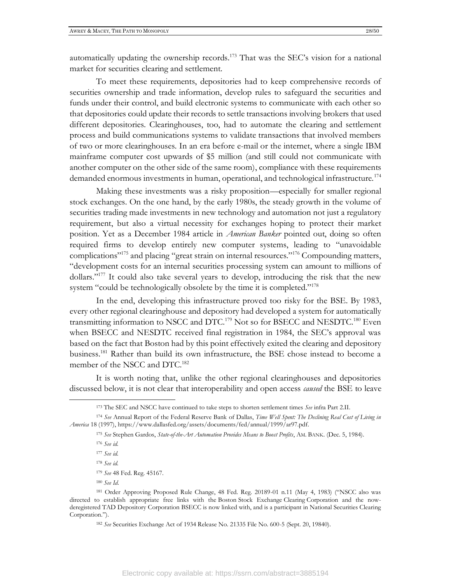automatically updating the ownership records.<sup>173</sup> That was the SEC's vision for a national market for securities clearing and settlement.

To meet these requirements, depositories had to keep comprehensive records of securities ownership and trade information, develop rules to safeguard the securities and funds under their control, and build electronic systems to communicate with each other so that depositories could update their records to settle transactions involving brokers that used different depositories. Clearinghouses, too, had to automate the clearing and settlement process and build communications systems to validate transactions that involved members of two or more clearinghouses. In an era before e-mail or the internet, where a single IBM mainframe computer cost upwards of \$5 million (and still could not communicate with another computer on the other side of the same room), compliance with these requirements demanded enormous investments in human, operational, and technological infrastructure.<sup>174</sup>

Making these investments was a risky proposition—especially for smaller regional stock exchanges. On the one hand, by the early 1980s, the steady growth in the volume of securities trading made investments in new technology and automation not just a regulatory requirement, but also a virtual necessity for exchanges hoping to protect their market position. Yet as a December 1984 article in *American Banker* pointed out, doing so often required firms to develop entirely new computer systems, leading to "unavoidable complications"<sup>175</sup> and placing "great strain on internal resources."<sup>176</sup> Compounding matters, "development costs for an internal securities processing system can amount to millions of dollars."<sup>177</sup> It could also take several years to develop, introducing the risk that the new system "could be technologically obsolete by the time it is completed."<sup>178</sup>

In the end, developing this infrastructure proved too risky for the BSE. By 1983, every other regional clearinghouse and depository had developed a system for automatically transmitting information to NSCC and DTC.<sup>179</sup> Not so for BSECC and NESDTC.<sup>180</sup> Even when BSECC and NESDTC received final registration in 1984, the SEC's approval was based on the fact that Boston had by this point effectively exited the clearing and depository business.<sup>181</sup> Rather than build its own infrastructure, the BSE chose instead to become a member of the NSCC and DTC.<sup>182</sup>

It is worth noting that, unlike the other regional clearinghouses and depositories discussed below, it is not clear that interoperability and open access *caused* the BSE to leave

<sup>173</sup> The SEC and NSCC have continued to take steps to shorten settlement times *See* infra Part 2.II.

<sup>174</sup> *See* Annual Report of the Federal Reserve Bank of Dallas, *Time Well Spent: The Declining Real Cost of Living in America* 18 (1997), https://www.dallasfed.org/assets/documents/fed/annual/1999/ar97.pdf.

<sup>175</sup> *See* Stephen Gardos, *State-of-the-Art Automation Provides Means to Boost Profits*, AM. BANK. (Dec. 5, 1984).

<sup>176</sup> *See id.*

<sup>177</sup> *See id.*

<sup>178</sup> *See id.*

<sup>179</sup> *See* 48 Fed. Reg. 45167.

<sup>180</sup> *See Id*.

<sup>181</sup> Order Approving Proposed Rule Change, 48 Fed. Reg. 20189-01 n.11 (May 4, 1983) ("NSCC also was directed to establish appropriate free links with the Boston Stock Exchange Clearing Corporation and the nowderegistered TAD Depository Corporation BSECC is now linked with, and is a participant in National Securities Clearing Corporation.").

<sup>182</sup> *See* Securities Exchange Act of 1934 Release No. 21335 File No. 600-5 (Sept. 20, 19840).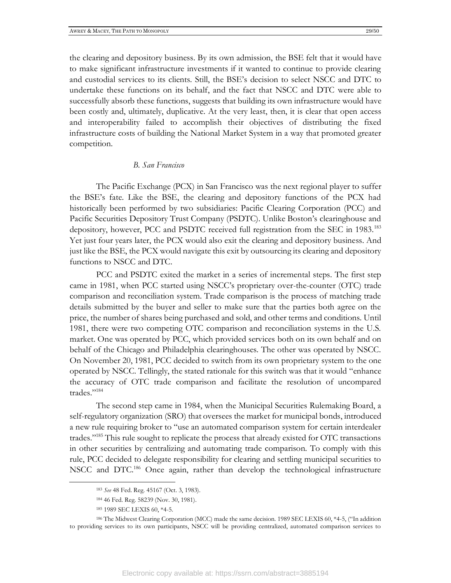the clearing and depository business. By its own admission, the BSE felt that it would have to make significant infrastructure investments if it wanted to continue to provide clearing and custodial services to its clients. Still, the BSE's decision to select NSCC and DTC to undertake these functions on its behalf, and the fact that NSCC and DTC were able to successfully absorb these functions, suggests that building its own infrastructure would have been costly and, ultimately, duplicative. At the very least, then, it is clear that open access and interoperability failed to accomplish their objectives of distributing the fixed infrastructure costs of building the National Market System in a way that promoted greater competition.

#### *B. San Francisco*

The Pacific Exchange (PCX) in San Francisco was the next regional player to suffer the BSE's fate. Like the BSE, the clearing and depository functions of the PCX had historically been performed by two subsidiaries: Pacific Clearing Corporation (PCC) and Pacific Securities Depository Trust Company (PSDTC). Unlike Boston's clearinghouse and depository, however, PCC and PSDTC received full registration from the SEC in 1983.<sup>183</sup> Yet just four years later, the PCX would also exit the clearing and depository business. And just like the BSE, the PCX would navigate this exit by outsourcing its clearing and depository functions to NSCC and DTC.

PCC and PSDTC exited the market in a series of incremental steps. The first step came in 1981, when PCC started using NSCC's proprietary over-the-counter (OTC) trade comparison and reconciliation system. Trade comparison is the process of matching trade details submitted by the buyer and seller to make sure that the parties both agree on the price, the number of shares being purchased and sold, and other terms and conditions. Until 1981, there were two competing OTC comparison and reconciliation systems in the U.S. market. One was operated by PCC, which provided services both on its own behalf and on behalf of the Chicago and Philadelphia clearinghouses. The other was operated by NSCC. On November 20, 1981, PCC decided to switch from its own proprietary system to the one operated by NSCC. Tellingly, the stated rationale for this switch was that it would "enhance the accuracy of OTC trade comparison and facilitate the resolution of uncompared trades."<sup>184</sup>

The second step came in 1984, when the Municipal Securities Rulemaking Board, a self-regulatory organization (SRO) that oversees the market for municipal bonds, introduced a new rule requiring broker to "use an automated comparison system for certain interdealer trades."<sup>185</sup> This rule sought to replicate the process that already existed for OTC transactions in other securities by centralizing and automating trade comparison. To comply with this rule, PCC decided to delegate responsibility for clearing and settling municipal securities to NSCC and DTC.<sup>186</sup> Once again, rather than develop the technological infrastructure

<sup>183</sup> *See* 48 Fed. Reg. 45167 (Oct. 3, 1983).

<sup>184</sup> 46 Fed. Reg. 58239 (Nov. 30, 1981).

<sup>185</sup> 1989 SEC LEXIS 60, \*4-5.

<sup>186</sup> The Midwest Clearing Corporation (MCC) made the same decision. 1989 SEC LEXIS 60, \*4-5, ("In addition to providing services to its own participants, NSCC will be providing centralized, automated comparison services to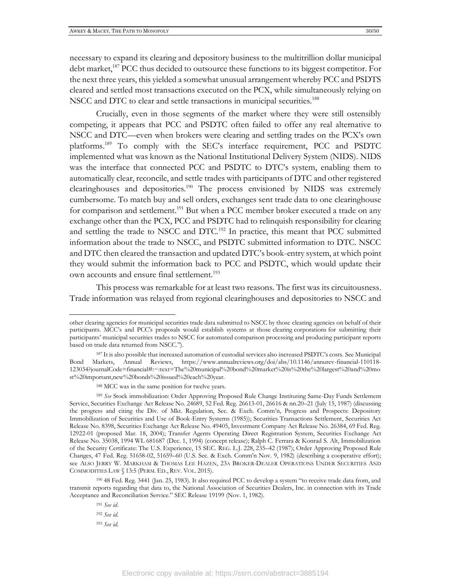necessary to expand its clearing and depository business to the multitrillion dollar municipal debt market,<sup>187</sup> PCC thus decided to outsource these functions to its biggest competitor. For the next three years, this yielded a somewhat unusual arrangement whereby PCC and PSDTS cleared and settled most transactions executed on the PCX, while simultaneously relying on NSCC and DTC to clear and settle transactions in municipal securities.<sup>188</sup>

Crucially, even in those segments of the market where they were still ostensibly competing, it appears that PCC and PSDTC often failed to offer any real alternative to NSCC and DTC—even when brokers were clearing and settling trades on the PCX's own platforms. <sup>189</sup> To comply with the SEC's interface requirement, PCC and PSDTC implemented what was known as the National Institutional Delivery System (NIDS). NIDS was the interface that connected PCC and PSDTC to DTC's system, enabling them to automatically clear, reconcile, and settle trades with participants of DTC and other registered clearinghouses and depositories.<sup>190</sup> The process envisioned by NIDS was extremely cumbersome. To match buy and sell orders, exchanges sent trade data to one clearinghouse for comparison and settlement.<sup>191</sup> But when a PCC member broker executed a trade on any exchange other than the PCX, PCC and PSDTC had to relinquish responsibility for clearing and settling the trade to NSCC and DTC.<sup>192</sup> In practice, this meant that PCC submitted information about the trade to NSCC, and PSDTC submitted information to DTC. NSCC and DTC then cleared the transaction and updated DTC's book-entry system, at which point they would submit the information back to PCC and PSDTC, which would update their own accounts and ensure final settlement.<sup>193</sup>

This process was remarkable for at least two reasons. The first was its circuitousness. Trade information was relayed from regional clearinghouses and depositories to NSCC and

<sup>190</sup> 48 Fed. Reg. 3441 (Jan. 25, 1983). It also required PCC to develop a system "to receive trade data from, and transmit reports regarding that data to, the National Association of Securities Dealers, Inc. in connection with its Trade Acceptance and Reconciliation Service." SEC Release 19199 (Nov. 1, 1982).

<sup>191</sup> *See id*.

<sup>192</sup> *See id*.

other clearing agencies for municipal securities trade data submitted to NSCC by those clearing agencies on behalf of their participants. MCC's and PCC's proposals would establish systems at those clearing corporations for submitting their participants' municipal securities trades to NSCC for automated comparison processing and producing participant reports based on trade data returned from NSCC.").

<sup>187</sup> It is also possible that increased automation of custodial services also increased PSDTC's costs. See Municipal Bond Markets, Annual Reviews, https://www.annualreviews.org/doi/abs/10.1146/annurev-financial-110118- 123034?journalCode=financial#:~:text=The%20municipal%20bond%20market%20is%20the%20largest%20and%20mo st%20important,new%20bonds%20issued%20each%20year.

<sup>188</sup> MCC was in the same position for twelve years.

<sup>189</sup> *See* Stock immobilization: Order Approving Proposed Rule Change Instituting Same-Day Funds Settlement Service, Securities Exchange Act Release No. 24689, 52 Fed. Reg. 26613-01, 26616 & nn.20–21 (July 15, 1987) (discussing the progress and citing the Div. of Mkt. Regulation, Sec. & Exch. Comm'n, Progress and Prospects: Depository Immobilization of Securities and Use of Book-Entry Systems (1985)); Securities Transactions Settlement, Securities Act Release No. 8398, Securities Exchange Act Release No. 49405, Investment Company Act Release No. 26384, 69 Fed. Reg. 12922-01 (proposed Mar. 18, 2004); Transfer Agents Operating Direct Registration System, Securities Exchange Act Release No. 35038, 1994 WL 681687 (Dec. 1, 1994) (concept release); Ralph C. Ferrara & Konrad S. Alt, Immobilization of the Security Certificate: The U.S. Experience, 15 SEC. REG. L.J. 228, 235–42 (1987); Order Approving Proposed Rule Changes, 47 Fed. Reg. 51658-02, 51659–60 (U.S. Sec. & Exch. Comm'n Nov. 9, 1982) (describing a cooperative effort); see ALSO JERRY W. MARKHAM & THOMAS LEE HAZEN, 23A BROKER-DEALER OPERATIONS UNDER SECURITIES AND COMMODITIES LAW § 13:5 (PERM. ED., REV. VOL. 2015).

<sup>193</sup> *See id.*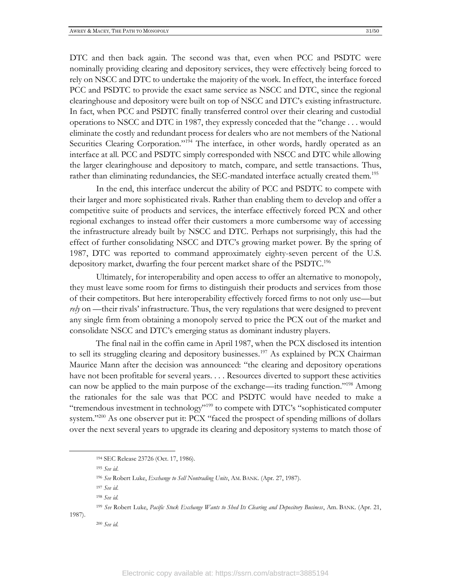DTC and then back again. The second was that, even when PCC and PSDTC were nominally providing clearing and depository services, they were effectively being forced to rely on NSCC and DTC to undertake the majority of the work. In effect, the interface forced PCC and PSDTC to provide the exact same service as NSCC and DTC, since the regional clearinghouse and depository were built on top of NSCC and DTC's existing infrastructure. In fact, when PCC and PSDTC finally transferred control over their clearing and custodial operations to NSCC and DTC in 1987, they expressly conceded that the "change . . . would eliminate the costly and redundant process for dealers who are not members of the National Securities Clearing Corporation."<sup>194</sup> The interface, in other words, hardly operated as an interface at all. PCC and PSDTC simply corresponded with NSCC and DTC while allowing the larger clearinghouse and depository to match, compare, and settle transactions. Thus, rather than eliminating redundancies, the SEC-mandated interface actually created them.<sup>195</sup>

In the end, this interface undercut the ability of PCC and PSDTC to compete with their larger and more sophisticated rivals. Rather than enabling them to develop and offer a competitive suite of products and services, the interface effectively forced PCX and other regional exchanges to instead offer their customers a more cumbersome way of accessing the infrastructure already built by NSCC and DTC. Perhaps not surprisingly, this had the effect of further consolidating NSCC and DTC's growing market power. By the spring of 1987, DTC was reported to command approximately eighty-seven percent of the U.S. depository market, dwarfing the four percent market share of the PSDTC.<sup>196</sup>

Ultimately, for interoperability and open access to offer an alternative to monopoly, they must leave some room for firms to distinguish their products and services from those of their competitors. But here interoperability effectively forced firms to not only use—but *rely* on —their rivals' infrastructure. Thus, the very regulations that were designed to prevent any single firm from obtaining a monopoly served to price the PCX out of the market and consolidate NSCC and DTC's emerging status as dominant industry players.

The final nail in the coffin came in April 1987, when the PCX disclosed its intention to sell its struggling clearing and depository businesses.<sup>197</sup> As explained by PCX Chairman Maurice Mann after the decision was announced: "the clearing and depository operations have not been profitable for several years. . . . Resources diverted to support these activities can now be applied to the main purpose of the exchange—its trading function."<sup>198</sup> Among the rationales for the sale was that PCC and PSDTC would have needed to make a "tremendous investment in technology"<sup>199</sup> to compete with DTC's "sophisticated computer system."<sup>200</sup> As one observer put it: PCX "faced the prospect of spending millions of dollars over the next several years to upgrade its clearing and depository systems to match those of

1987).

<sup>194</sup> SEC Release 23726 (Oct. 17, 1986).

<sup>195</sup> *See id*.

<sup>196</sup> *See* Robert Luke, *Exchange to Sell Nontrading Units*, AM. BANK. (Apr. 27, 1987).

<sup>197</sup> *See id.*

<sup>198</sup> *See id.*

<sup>199</sup> *See* Robert Luke, *Pacific Stock Exchange Wants to Shed Its Clearing and Depository Business*, Am. BANK. (Apr. 21,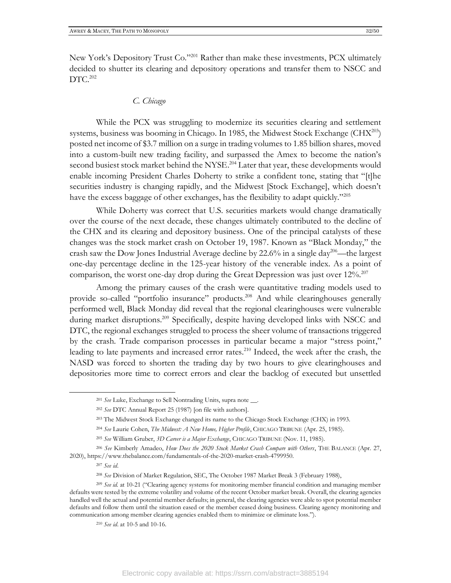New York's Depository Trust Co."<sup>201</sup> Rather than make these investments, PCX ultimately decided to shutter its clearing and depository operations and transfer them to NSCC and DTC.<sup>202</sup>

#### *C. Chicago*

While the PCX was struggling to modernize its securities clearing and settlement systems, business was booming in Chicago. In 1985, the Midwest Stock Exchange ( $CHX<sup>203</sup>$ ) posted net income of \$3.7 million on a surge in trading volumes to 1.85 billion shares, moved into a custom-built new trading facility, and surpassed the Amex to become the nation's second busiest stock market behind the NYSE.<sup>204</sup> Later that year, these developments would enable incoming President Charles Doherty to strike a confident tone, stating that "[t]he securities industry is changing rapidly, and the Midwest [Stock Exchange], which doesn't have the excess baggage of other exchanges, has the flexibility to adapt quickly."<sup>205</sup>

While Doherty was correct that U.S. securities markets would change dramatically over the course of the next decade, these changes ultimately contributed to the decline of the CHX and its clearing and depository business. One of the principal catalysts of these changes was the stock market crash on October 19, 1987. Known as "Black Monday," the crash saw the Dow Jones Industrial Average decline by 22.6% in a single day<sup>206</sup>—the largest one-day percentage decline in the 125-year history of the venerable index. As a point of comparison, the worst one-day drop during the Great Depression was just over  $12\%$ .<sup>207</sup>

Among the primary causes of the crash were quantitative trading models used to provide so-called "portfolio insurance" products.<sup>208</sup> And while clearinghouses generally performed well, Black Monday did reveal that the regional clearinghouses were vulnerable during market disruptions.<sup>209</sup> Specifically, despite having developed links with NSCC and DTC, the regional exchanges struggled to process the sheer volume of transactions triggered by the crash. Trade comparison processes in particular became a major "stress point," leading to late payments and increased error rates.<sup>210</sup> Indeed, the week after the crash, the NASD was forced to shorten the trading day by two hours to give clearinghouses and depositories more time to correct errors and clear the backlog of executed but unsettled

<sup>210</sup> *See id*. at 10-5 and 10-16.

<sup>201</sup> *See* Luke, Exchange to Sell Nontrading Units, supra note \_\_.

<sup>202</sup> *See* DTC Annual Report 25 (1987) [on file with authors].

<sup>203</sup> The Midwest Stock Exchange changed its name to the Chicago Stock Exchange (CHX) in 1993.

<sup>204</sup> *See* Laurie Cohen, *The Midwest: A New Home, Higher Profile*, CHICAGO TRIBUNE (Apr. 25, 1985).

<sup>205</sup> *See* William Gruber, *3D Career is a Major Exchange*, CHICAGO TRIBUNE (Nov. 11, 1985).

<sup>206</sup> *See* Kimberly Amadeo, *How Does the 2020 Stock Market Crash Compare with Others*, THE BALANCE (Apr. 27, 2020), https://www.thebalance.com/fundamentals-of-the-2020-market-crash-4799950.

<sup>207</sup> *See id*.

<sup>208</sup> *See* Division of Market Regulation, SEC, The October 1987 Market Break 3 (February 1988),

<sup>209</sup> *See id.* at 10-21 ("Clearing agency systems for monitoring member financial condition and managing member defaults were tested by the extreme volatility and volume of the recent October market break. Overall, the clearing agencies handled well the actual and potential member defaults; in general, the clearing agencies were able to spot potential member defaults and follow them until the situation eased or the member ceased doing business. Clearing agency monitoring and communication among member clearing agencies enabled them to minimize or eliminate loss.").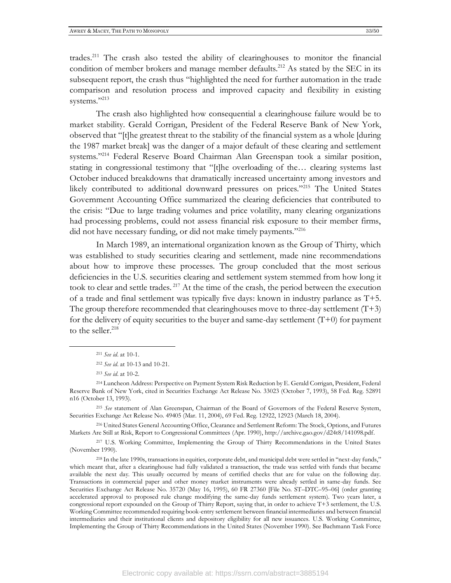trades.<sup>211</sup> The crash also tested the ability of clearinghouses to monitor the financial condition of member brokers and manage member defaults.<sup>212</sup> As stated by the SEC in its subsequent report, the crash thus "highlighted the need for further automation in the trade comparison and resolution process and improved capacity and flexibility in existing systems."213

The crash also highlighted how consequential a clearinghouse failure would be to market stability. Gerald Corrigan, President of the Federal Reserve Bank of New York, observed that "[t]he greatest threat to the stability of the financial system as a whole [during the 1987 market break] was the danger of a major default of these clearing and settlement systems."<sup>214</sup> Federal Reserve Board Chairman Alan Greenspan took a similar position, stating in congressional testimony that "[t]he overloading of the… clearing systems last October induced breakdowns that dramatically increased uncertainty among investors and likely contributed to additional downward pressures on prices."<sup>215</sup> The United States Government Accounting Office summarized the clearing deficiencies that contributed to the crisis: "Due to large trading volumes and price volatility, many clearing organizations had processing problems, could not assess financial risk exposure to their member firms, did not have necessary funding, or did not make timely payments."<sup>216</sup>

In March 1989, an international organization known as the Group of Thirty, which was established to study securities clearing and settlement, made nine recommendations about how to improve these processes. The group concluded that the most serious deficiencies in the U.S. securities clearing and settlement system stemmed from how long it took to clear and settle trades. <sup>217</sup> At the time of the crash, the period between the execution of a trade and final settlement was typically five days: known in industry parlance as T+5. The group therefore recommended that clearinghouses move to three-day settlement  $(T+3)$ for the delivery of equity securities to the buyer and same-day settlement  $(T+0)$  for payment to the seller.<sup>218</sup>

<sup>215</sup> *See* statement of Alan Greenspan, Chairman of the Board of Governors of the Federal Reserve System, Securities Exchange Act Release No. 49405 (Mar. 11, 2004), 69 Fed. Reg. 12922, 12923 (March 18, 2004).

<sup>216</sup> United States General Accounting Office, Clearance and Settlement Reform: The Stock, Options, and Futures Markets Are Still at Risk, Report to Congressional Committees (Apr. 1990), http://archive.gao.gov/d24t8/141098.pdf.

<sup>217</sup> U.S. Working Committee, Implementing the Group of Thirty Recommendations in the United States (November 1990).

<sup>218</sup> In the late 1990s, transactions in equities, corporate debt, and municipal debt were settled in ''next-day funds," which meant that, after a clearinghouse had fully validated a transaction, the trade was settled with funds that became available the next day. This usually occurred by means of certified checks that are for value on the following day. Transactions in commercial paper and other money market instruments were already settled in same-day funds. See Securities Exchange Act Release No. 35720 (May 16, 1995), 60 FR 27360 [File No. ST–DTC–95–06] (order granting accelerated approval to proposed rule change modifying the same-day funds settlement system). Two years later, a congressional report expounded on the Group of Thirty Report, saying that, in order to achieve T+3 settlement, the U.S. Working Committee recommended requiring book-entry settlement between financial intermediaries and between financial intermediaries and their institutional clients and depository eligibility for all new issuances. U.S. Working Committee, Implementing the Group of Thirty Recommendations in the United States (November 1990). See Bachmann Task Force

<sup>211</sup> *See id*. at 10-1.

<sup>212</sup> *See id*. at 10-13 and 10-21.

<sup>213</sup> *See id*. at 10-2.

<sup>214</sup> Luncheon Address: Perspective on Payment System Risk Reduction by E. Gerald Corrigan, President, Federal Reserve Bank of New York, cited in Securities Exchange Act Release No. 33023 (October 7, 1993), 58 Fed. Reg. 52891 n16 (October 13, 1993).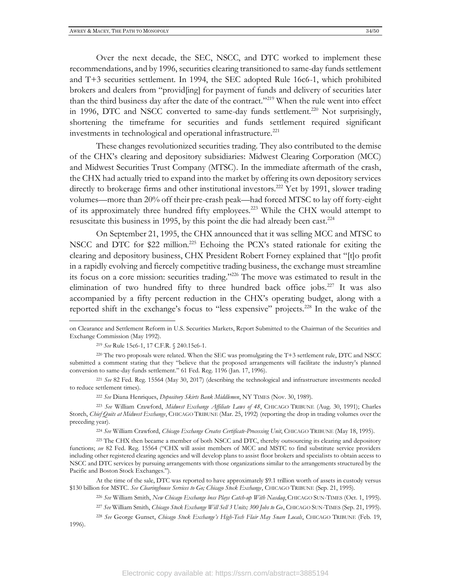Over the next decade, the SEC, NSCC, and DTC worked to implement these recommendations, and by 1996, securities clearing transitioned to same-day funds settlement and T+3 securities settlement. In 1994, the SEC adopted Rule 16c6-1, which prohibited brokers and dealers from "provid[ing] for payment of funds and delivery of securities later than the third business day after the date of the contract."<sup>219</sup> When the rule went into effect in 1996, DTC and NSCC converted to same-day funds settlement.<sup>220</sup> Not surprisingly, shortening the timeframe for securities and funds settlement required significant investments in technological and operational infrastructure.<sup>221</sup>

These changes revolutionized securities trading. They also contributed to the demise of the CHX's clearing and depository subsidiaries: Midwest Clearing Corporation (MCC) and Midwest Securities Trust Company (MTSC). In the immediate aftermath of the crash, the CHX had actually tried to expand into the market by offering its own depository services directly to brokerage firms and other institutional investors.<sup>222</sup> Yet by 1991, slower trading volumes—more than 20% off their pre-crash peak—had forced MTSC to lay off forty-eight of its approximately three hundred fifty employees.<sup>223</sup> While the CHX would attempt to resuscitate this business in 1995, by this point the die had already been cast.<sup>224</sup>

On September 21, 1995, the CHX announced that it was selling MCC and MTSC to NSCC and DTC for \$22 million.<sup>225</sup> Echoing the PCX's stated rationale for exiting the clearing and depository business, CHX President Robert Forney explained that "[t]o profit in a rapidly evolving and fiercely competitive trading business, the exchange must streamline its focus on a core mission: securities trading." <sup>226</sup> The move was estimated to result in the elimination of two hundred fifty to three hundred back office jobs.<sup>227</sup> It was also accompanied by a fifty percent reduction in the CHX's operating budget, along with a reported shift in the exchange's focus to "less expensive" projects.<sup>228</sup> In the wake of the

on Clearance and Settlement Reform in U.S. Securities Markets, Report Submitted to the Chairman of the Securities and Exchange Commission (May 1992).

<sup>219</sup> *See* Rule 15c6-1, 17 C.F.R. § 240.15c6-1.

<sup>220</sup> The two proposals were related. When the SEC was promulgating the T+3 settlement rule, DTC and NSCC submitted a comment stating that they "believe that the proposed arrangements will facilitate the industry's planned conversion to same-day funds settlement." 61 Fed. Reg. 1196 (Jan. 17, 1996).

<sup>221</sup> *See* 82 Fed. Reg. 15564 (May 30, 2017) (describing the technological and infrastructure investments needed to reduce settlement times).

<sup>222</sup> *See* Diana Henriques, *Depository Skirts Bank Middlemen*, NY TIMES (Nov. 30, 1989).

<sup>223</sup> *See* William Crawford, *Midwest Exchange Affiliate Laws of 48*, CHICAGO TRIBUNE (Aug. 30, 1991); Charles Storch, *Chief Quits at Midwest Exchange*, CHICAGO TRIBUNE (Mar. 25, 1992) (reporting the drop in trading volumes over the preceding year).

<sup>224</sup> *See* William Crawford, *Chicago Exchange Creates Certificate-Processing Unit*, CHICAGO TRIBUNE (May 18, 1995).

<sup>225</sup> The CHX then became a member of both NSCC and DTC, thereby outsourcing its clearing and depository functions; *see* 82 Fed. Reg. 15564 ("CHX will assist members of MCC and MSTC to find substitute service providers including other registered clearing agencies and will develop plans to assist floor brokers and specialists to obtain access to NSCC and DTC services by pursuing arrangements with those organizations similar to the arrangements structured by the Pacific and Boston Stock Exchanges.").

At the time of the sale, DTC was reported to have approximately \$9.1 trillion worth of assets in custody versus \$130 billion for MSTC. *See Clearinghouse Services to Go; Chicago Stock Exchange*, CHICAGO TRIBUNE (Sep. 21, 1995).

<sup>226</sup> *See* William Smith, *New Chicago Exchange boss Plays Catch-up With Nasdaq*, CHICAGO SUN-TIMES (Oct. 1, 1995).

<sup>227</sup> *See* William Smith, *Chicago Stock Exchange Will Sell 3 Units; 300 Jobs to Go*, CHICAGO SUN-TIMES (Sep. 21, 1995).

<sup>228</sup> *See* George Gunset, *Chicago Stock Exchange's High-Tech Flair May Snare Locals*, CHICAGO TRIBUNE (Feb. 19, 1996).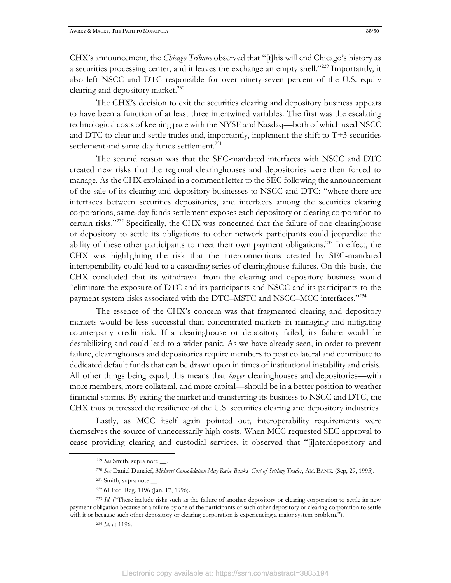CHX's announcement, the *Chicago Tribune* observed that "[t]his will end Chicago's history as a securities processing center, and it leaves the exchange an empty shell."<sup>229</sup> Importantly, it also left NSCC and DTC responsible for over ninety-seven percent of the U.S. equity clearing and depository market.<sup>230</sup>

The CHX's decision to exit the securities clearing and depository business appears to have been a function of at least three intertwined variables. The first was the escalating technological costs of keeping pace with the NYSE and Nasdaq—both of which used NSCC and DTC to clear and settle trades and, importantly, implement the shift to T+3 securities settlement and same-day funds settlement.<sup>231</sup>

The second reason was that the SEC-mandated interfaces with NSCC and DTC created new risks that the regional clearinghouses and depositories were then forced to manage. As the CHX explained in a comment letter to the SEC following the announcement of the sale of its clearing and depository businesses to NSCC and DTC: "where there are interfaces between securities depositories, and interfaces among the securities clearing corporations, same-day funds settlement exposes each depository or clearing corporation to certain risks."<sup>232</sup> Specifically, the CHX was concerned that the failure of one clearinghouse or depository to settle its obligations to other network participants could jeopardize the ability of these other participants to meet their own payment obligations.<sup>233</sup> In effect, the CHX was highlighting the risk that the interconnections created by SEC-mandated interoperability could lead to a cascading series of clearinghouse failures. On this basis, the CHX concluded that its withdrawal from the clearing and depository business would "eliminate the exposure of DTC and its participants and NSCC and its participants to the payment system risks associated with the DTC–MSTC and NSCC–MCC interfaces."<sup>234</sup>

The essence of the CHX's concern was that fragmented clearing and depository markets would be less successful than concentrated markets in managing and mitigating counterparty credit risk. If a clearinghouse or depository failed, its failure would be destabilizing and could lead to a wider panic. As we have already seen, in order to prevent failure, clearinghouses and depositories require members to post collateral and contribute to dedicated default funds that can be drawn upon in times of institutional instability and crisis. All other things being equal, this means that *larger* clearinghouses and depositories—with more members, more collateral, and more capital—should be in a better position to weather financial storms. By exiting the market and transferring its business to NSCC and DTC, the CHX thus buttressed the resilience of the U.S. securities clearing and depository industries.

Lastly, as MCC itself again pointed out, interoperability requirements were themselves the source of unnecessarily high costs. When MCC requested SEC approval to cease providing clearing and custodial services, it observed that "[i]nterdepository and

<sup>229</sup> *See* Smith, supra note \_\_.

<sup>230</sup> *See* Daniel Dunaief, *Midwest Consolidation May Raise Banks' Cost of Settling Trades*, AM. BANK. (Sep, 29, 1995).

<sup>&</sup>lt;sup>231</sup> Smith, supra note \_\_\_.

<sup>232</sup> 61 Fed. Reg. 1196 (Jan. 17, 1996).

<sup>&</sup>lt;sup>233</sup> *Id.* ("These include risks such as the failure of another depository or clearing corporation to settle its new payment obligation because of a failure by one of the participants of such other depository or clearing corporation to settle with it or because such other depository or clearing corporation is experiencing a major system problem.").

<sup>234</sup> *Id.* at 1196.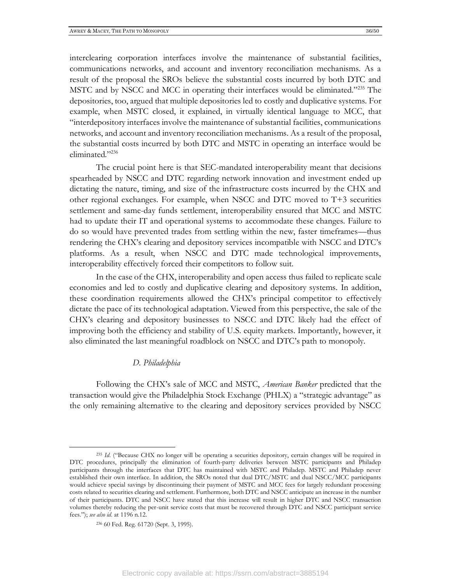interclearing corporation interfaces involve the maintenance of substantial facilities, communications networks, and account and inventory reconciliation mechanisms. As a result of the proposal the SROs believe the substantial costs incurred by both DTC and MSTC and by NSCC and MCC in operating their interfaces would be eliminated."<sup>235</sup> The depositories, too, argued that multiple depositories led to costly and duplicative systems. For example, when MSTC closed, it explained, in virtually identical language to MCC, that "interdepository interfaces involve the maintenance of substantial facilities, communications networks, and account and inventory reconciliation mechanisms. As a result of the proposal, the substantial costs incurred by both DTC and MSTC in operating an interface would be eliminated."<sup>236</sup>

The crucial point here is that SEC-mandated interoperability meant that decisions spearheaded by NSCC and DTC regarding network innovation and investment ended up dictating the nature, timing, and size of the infrastructure costs incurred by the CHX and other regional exchanges. For example, when NSCC and DTC moved to T+3 securities settlement and same-day funds settlement, interoperability ensured that MCC and MSTC had to update their IT and operational systems to accommodate these changes. Failure to do so would have prevented trades from settling within the new, faster timeframes—thus rendering the CHX's clearing and depository services incompatible with NSCC and DTC's platforms. As a result, when NSCC and DTC made technological improvements, interoperability effectively forced their competitors to follow suit.

In the case of the CHX, interoperability and open access thus failed to replicate scale economies and led to costly and duplicative clearing and depository systems. In addition, these coordination requirements allowed the CHX's principal competitor to effectively dictate the pace of its technological adaptation. Viewed from this perspective, the sale of the CHX's clearing and depository businesses to NSCC and DTC likely had the effect of improving both the efficiency and stability of U.S. equity markets. Importantly, however, it also eliminated the last meaningful roadblock on NSCC and DTC's path to monopoly.

#### *D. Philadelphia*

Following the CHX's sale of MCC and MSTC, *American Banker* predicted that the transaction would give the Philadelphia Stock Exchange (PHLX) a "strategic advantage" as the only remaining alternative to the clearing and depository services provided by NSCC

<sup>&</sup>lt;sup>235</sup> *Id.* ("Because CHX no longer will be operating a securities depository, certain changes will be required in DTC procedures, principally the elimination of fourth-party deliveries between MSTC participants and Philadep participants through the interfaces that DTC has maintained with MSTC and Philadep. MSTC and Philadep never established their own interface. In addition, the SROs noted that dual DTC/MSTC and dual NSCC/MCC participants would achieve special savings by discontinuing their payment of MSTC and MCC fees for largely redundant processing costs related to securities clearing and settlement. Furthermore, both DTC and NSCC anticipate an increase in the number of their participants. DTC and NSCC have stated that this increase will result in higher DTC and NSCC transaction volumes thereby reducing the per-unit service costs that must be recovered through DTC and NSCC participant service fees."); *see also id*. at 1196 n.12.

<sup>236</sup> 60 Fed. Reg. 61720 (Sept. 3, 1995).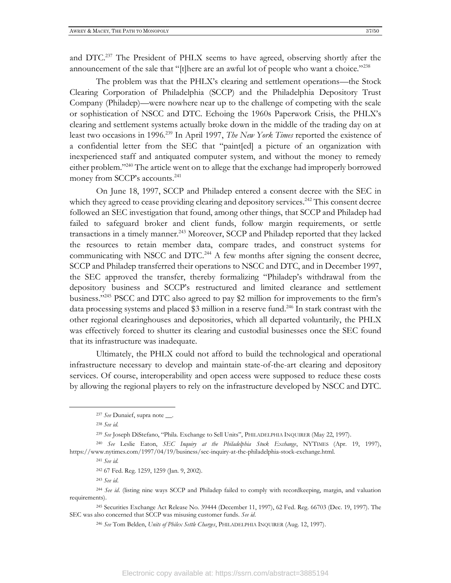and DTC.<sup>237</sup> The President of PHLX seems to have agreed, observing shortly after the announcement of the sale that "[t]here are an awful lot of people who want a choice."<sup>238</sup>

The problem was that the PHLX's clearing and settlement operations—the Stock Clearing Corporation of Philadelphia (SCCP) and the Philadelphia Depository Trust Company (Philadep)—were nowhere near up to the challenge of competing with the scale or sophistication of NSCC and DTC. Echoing the 1960s Paperwork Crisis, the PHLX's clearing and settlement systems actually broke down in the middle of the trading day on at least two occasions in 1996.<sup>239</sup> In April 1997, *The New York Times* reported the existence of a confidential letter from the SEC that "paint[ed] a picture of an organization with inexperienced staff and antiquated computer system, and without the money to remedy either problem."<sup>240</sup> The article went on to allege that the exchange had improperly borrowed money from SCCP's accounts.<sup>241</sup>

On June 18, 1997, SCCP and Philadep entered a consent decree with the SEC in which they agreed to cease providing clearing and depository services.<sup>242</sup> This consent decree followed an SEC investigation that found, among other things, that SCCP and Philadep had failed to safeguard broker and client funds, follow margin requirements, or settle transactions in a timely manner.<sup>243</sup> Moreover, SCCP and Philadep reported that they lacked the resources to retain member data, compare trades, and construct systems for communicating with NSCC and DTC.<sup>244</sup> A few months after signing the consent decree, SCCP and Philadep transferred their operations to NSCC and DTC, and in December 1997, the SEC approved the transfer, thereby formalizing "Philadep's withdrawal from the depository business and SCCP's restructured and limited clearance and settlement business." <sup>245</sup> PSCC and DTC also agreed to pay \$2 million for improvements to the firm's data processing systems and placed \$3 million in a reserve fund.<sup>246</sup> In stark contrast with the other regional clearinghouses and depositories, which all departed voluntarily, the PHLX was effectively forced to shutter its clearing and custodial businesses once the SEC found that its infrastructure was inadequate.

Ultimately, the PHLX could not afford to build the technological and operational infrastructure necessary to develop and maintain state-of-the-art clearing and depository services. Of course, interoperability and open access were supposed to reduce these costs by allowing the regional players to rely on the infrastructure developed by NSCC and DTC.

<sup>241</sup> *See id.*

<sup>243</sup> *See id*.

<sup>237</sup> *See* Dunaief, supra note \_\_.

<sup>238</sup> *See id.*

<sup>239</sup> *See* Joseph DiStefano, "Phila. Exchange to Sell Units", PHILADELPHIA INQUIRER (May 22, 1997).

<sup>240</sup> *See* Leslie Eaton, *SEC Inquiry at the Philadelphia Stock Exchange*, NYTIMES (Apr. 19, 1997), https://www.nytimes.com/1997/04/19/business/sec-inquiry-at-the-philadelphia-stock-exchange.html.

<sup>242</sup> 67 Fed. Reg. 1259, 1259 (Jan. 9, 2002).

<sup>244</sup> *See id*. (listing nine ways SCCP and Philadep failed to comply with recordkeeping, margin, and valuation requirements).

<sup>245</sup> Securities Exchange Act Release No. 39444 (December 11, 1997), 62 Fed. Reg. 66703 (Dec. 19, 1997). The SEC was also concerned that SCCP was misusing customer funds. *See id*.

<sup>246</sup> *See* Tom Belden, *Units of Philex Settle Charges*, PHILADELPHIA INQUIRER (Aug. 12, 1997).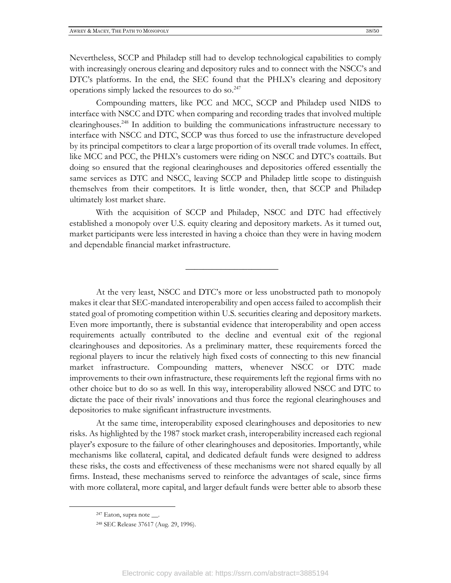Nevertheless, SCCP and Philadep still had to develop technological capabilities to comply with increasingly onerous clearing and depository rules and to connect with the NSCC's and DTC's platforms. In the end, the SEC found that the PHLX's clearing and depository operations simply lacked the resources to do so.<sup>247</sup>

Compounding matters, like PCC and MCC, SCCP and Philadep used NIDS to interface with NSCC and DTC when comparing and recording trades that involved multiple clearinghouses. <sup>248</sup> In addition to building the communications infrastructure necessary to interface with NSCC and DTC, SCCP was thus forced to use the infrastructure developed by its principal competitors to clear a large proportion of its overall trade volumes. In effect, like MCC and PCC, the PHLX's customers were riding on NSCC and DTC's coattails. But doing so ensured that the regional clearinghouses and depositories offered essentially the same services as DTC and NSCC, leaving SCCP and Philadep little scope to distinguish themselves from their competitors. It is little wonder, then, that SCCP and Philadep ultimately lost market share.

With the acquisition of SCCP and Philadep, NSCC and DTC had effectively established a monopoly over U.S. equity clearing and depository markets. As it turned out, market participants were less interested in having a choice than they were in having modern and dependable financial market infrastructure.

 $\overline{\phantom{a}}$  , where  $\overline{\phantom{a}}$  , where  $\overline{\phantom{a}}$ 

At the very least, NSCC and DTC's more or less unobstructed path to monopoly makes it clear that SEC-mandated interoperability and open access failed to accomplish their stated goal of promoting competition within U.S. securities clearing and depository markets. Even more importantly, there is substantial evidence that interoperability and open access requirements actually contributed to the decline and eventual exit of the regional clearinghouses and depositories. As a preliminary matter, these requirements forced the regional players to incur the relatively high fixed costs of connecting to this new financial market infrastructure. Compounding matters, whenever NSCC or DTC made improvements to their own infrastructure, these requirements left the regional firms with no other choice but to do so as well. In this way, interoperability allowed NSCC and DTC to dictate the pace of their rivals' innovations and thus force the regional clearinghouses and depositories to make significant infrastructure investments.

At the same time, interoperability exposed clearinghouses and depositories to new risks. As highlighted by the 1987 stock market crash, interoperability increased each regional player's exposure to the failure of other clearinghouses and depositories. Importantly, while mechanisms like collateral, capital, and dedicated default funds were designed to address these risks, the costs and effectiveness of these mechanisms were not shared equally by all firms. Instead, these mechanisms served to reinforce the advantages of scale, since firms with more collateral, more capital, and larger default funds were better able to absorb these

<sup>247</sup> Eaton, supra note \_\_.

<sup>248</sup> SEC Release 37617 (Aug. 29, 1996).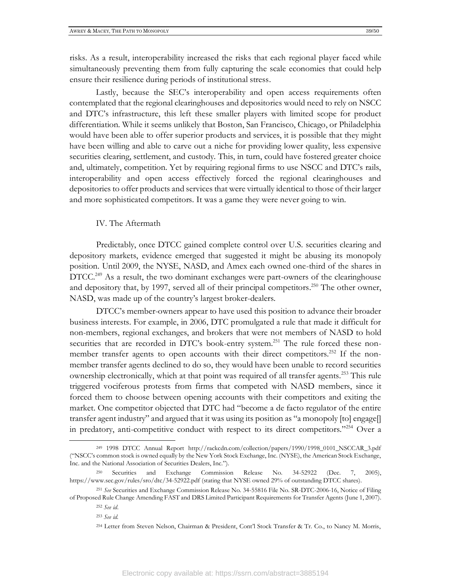risks. As a result, interoperability increased the risks that each regional player faced while simultaneously preventing them from fully capturing the scale economies that could help ensure their resilience during periods of institutional stress.

Lastly, because the SEC's interoperability and open access requirements often contemplated that the regional clearinghouses and depositories would need to rely on NSCC and DTC's infrastructure, this left these smaller players with limited scope for product differentiation. While it seems unlikely that Boston, San Francisco, Chicago, or Philadelphia would have been able to offer superior products and services, it is possible that they might have been willing and able to carve out a niche for providing lower quality, less expensive securities clearing, settlement, and custody. This, in turn, could have fostered greater choice and, ultimately, competition. Yet by requiring regional firms to use NSCC and DTC's rails, interoperability and open access effectively forced the regional clearinghouses and depositories to offer products and services that were virtually identical to those of their larger and more sophisticated competitors. It was a game they were never going to win.

#### IV. The Aftermath

Predictably, once DTCC gained complete control over U.S. securities clearing and depository markets, evidence emerged that suggested it might be abusing its monopoly position. Until 2009, the NYSE, NASD, and Amex each owned one-third of the shares in  $\text{DTCC}.^{249}$  As a result, the two dominant exchanges were part-owners of the clearinghouse and depository that, by 1997, served all of their principal competitors.<sup>250</sup> The other owner, NASD, was made up of the country's largest broker-dealers.

DTCC's member-owners appear to have used this position to advance their broader business interests. For example, in 2006, DTC promulgated a rule that made it difficult for non-members, regional exchanges, and brokers that were not members of NASD to hold securities that are recorded in DTC's book-entry system.<sup>251</sup> The rule forced these nonmember transfer agents to open accounts with their direct competitors.<sup>252</sup> If the nonmember transfer agents declined to do so, they would have been unable to record securities ownership electronically, which at that point was required of all transfer agents.<sup>253</sup> This rule triggered vociferous protests from firms that competed with NASD members, since it forced them to choose between opening accounts with their competitors and exiting the market. One competitor objected that DTC had "become a de facto regulator of the entire transfer agent industry" and argued that it was using its position as "a monopoly [to] engage[] in predatory, anti-competitive conduct with respect to its direct competitors."<sup>254</sup> Over a

<sup>249</sup> 1998 DTCC Annual Report http://rackcdn.com/collection/papers/1990/1998\_0101\_NSCCAR\_3.pdf ("NSCC's common stock is owned equally by the New York Stock Exchange, Inc. (NYSE), the American Stock Exchange, Inc. and the National Association of Securities Dealers, Inc.").

<sup>250</sup> Securities and Exchange Commission Release No. 34-52922 (Dec. 7, 2005), https://www.sec.gov/rules/sro/dtc/34-52922.pdf (stating that NYSE owned 29% of outstanding DTCC shares).

<sup>251</sup> *See* Securities and Exchange Commission Release No. 34-55816 File No. SR-DTC-2006-16, Notice of Filing of Proposed Rule Change Amending FAST and DRS Limited Participant Requirements for Transfer Agents (June 1, 2007).

<sup>252</sup> *See id*.

<sup>253</sup> *See id.*

<sup>254</sup> Letter from Steven Nelson, Chairman & President, Cont'l Stock Transfer & Tr. Co., to Nancy M. Morris,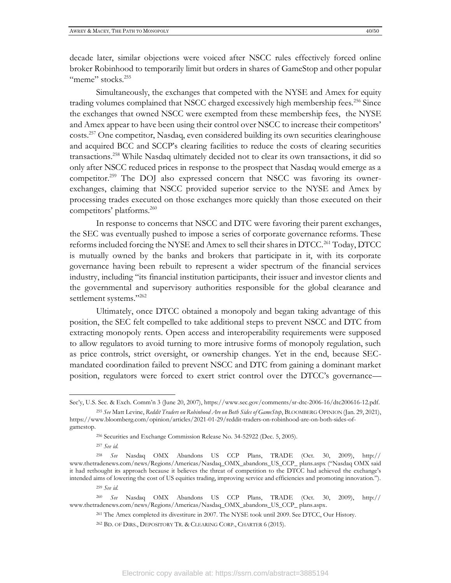decade later, similar objections were voiced after NSCC rules effectively forced online broker Robinhood to temporarily limit but orders in shares of GameStop and other popular "meme" stocks.<sup>255</sup>

Simultaneously, the exchanges that competed with the NYSE and Amex for equity trading volumes complained that NSCC charged excessively high membership fees.<sup>256</sup> Since the exchanges that owned NSCC were exempted from these membership fees, the NYSE and Amex appear to have been using their control over NSCC to increase their competitors' costs.<sup>257</sup> One competitor, Nasdaq, even considered building its own securities clearinghouse and acquired BCC and SCCP's clearing facilities to reduce the costs of clearing securities transactions.<sup>258</sup> While Nasdaq ultimately decided not to clear its own transactions, it did so only after NSCC reduced prices in response to the prospect that Nasdaq would emerge as a competitor.<sup>259</sup> The DOJ also expressed concern that NSCC was favoring its ownerexchanges, claiming that NSCC provided superior service to the NYSE and Amex by processing trades executed on those exchanges more quickly than those executed on their competitors' platforms. 260

In response to concerns that NSCC and DTC were favoring their parent exchanges, the SEC was eventually pushed to impose a series of corporate governance reforms. These reforms included forcing the NYSE and Amex to sell their shares in DTCC.<sup>261</sup> Today, DTCC is mutually owned by the banks and brokers that participate in it, with its corporate governance having been rebuilt to represent a wider spectrum of the financial services industry, including "its financial institution participants, their issuer and investor clients and the governmental and supervisory authorities responsible for the global clearance and settlement systems."<sup>262</sup>

Ultimately, once DTCC obtained a monopoly and began taking advantage of this position, the SEC felt compelled to take additional steps to prevent NSCC and DTC from extracting monopoly rents. Open access and interoperability requirements were supposed to allow regulators to avoid turning to more intrusive forms of monopoly regulation, such as price controls, strict oversight, or ownership changes. Yet in the end, because SECmandated coordination failed to prevent NSCC and DTC from gaining a dominant market position, regulators were forced to exert strict control over the DTCC's governance—

Sec'y, U.S. Sec. & Exch. Comm'n 3 (June 20, 2007), https://www.sec.gov/comments/sr-dtc-2006-16/dtc200616-12.pdf. <sup>255</sup> *See* Matt Levine, *Reddit Traders on Robinhood Are on Both Sides of GameStop*, BLOOMBERG OPINION (Jan. 29, 2021),

https://www.bloomberg.com/opinion/articles/2021-01-29/reddit-traders-on-robinhood-are-on-both-sides-ofgamestop.

<sup>256</sup> Securities and Exchange Commission Release No. 34-52922 (Dec. 5, 2005).

<sup>257</sup> *See id.*

<sup>258</sup> *See* Nasdaq OMX Abandons US CCP Plans, TRADE (Oct. 30, 2009), http:// www.thetradenews.com/news/Regions/Americas/Nasdaq\_OMX\_abandons\_US\_CCP\_ plans.aspx ("Nasdaq OMX said it had rethought its approach because it believes the threat of competition to the DTCC had achieved the exchange's intended aims of lowering the cost of US equities trading, improving service and efficiencies and promoting innovation.").

<sup>259</sup> *See id.*

<sup>260</sup> *See* Nasdaq OMX Abandons US CCP Plans, TRADE (Oct. 30, 2009), http:// www.thetradenews.com/news/Regions/Americas/Nasdaq\_OMX\_abandons\_US\_CCP\_ plans.aspx.

<sup>261</sup> The Amex completed its divestiture in 2007. The NYSE took until 2009. See DTCC, Our History.

<sup>262</sup> BD. OF DIRS., DEPOSITORY TR. & CLEARING CORP., CHARTER 6 (2015).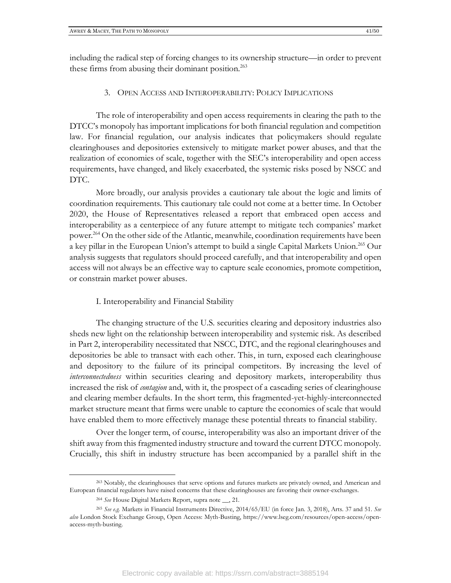including the radical step of forcing changes to its ownership structure—in order to prevent these firms from abusing their dominant position.<sup>263</sup>

#### 3. OPEN ACCESS AND INTEROPERABILITY: POLICY IMPLICATIONS

The role of interoperability and open access requirements in clearing the path to the DTCC's monopoly has important implications for both financial regulation and competition law. For financial regulation, our analysis indicates that policymakers should regulate clearinghouses and depositories extensively to mitigate market power abuses, and that the realization of economies of scale, together with the SEC's interoperability and open access requirements, have changed, and likely exacerbated, the systemic risks posed by NSCC and DTC.

More broadly, our analysis provides a cautionary tale about the logic and limits of coordination requirements. This cautionary tale could not come at a better time. In October 2020, the House of Representatives released a report that embraced open access and interoperability as a centerpiece of any future attempt to mitigate tech companies' market power.<sup>264</sup> On the other side of the Atlantic, meanwhile, coordination requirements have been a key pillar in the European Union's attempt to build a single Capital Markets Union.<sup>265</sup> Our analysis suggests that regulators should proceed carefully, and that interoperability and open access will not always be an effective way to capture scale economies, promote competition, or constrain market power abuses.

#### I. Interoperability and Financial Stability

The changing structure of the U.S. securities clearing and depository industries also sheds new light on the relationship between interoperability and systemic risk. As described in Part 2, interoperability necessitated that NSCC, DTC, and the regional clearinghouses and depositories be able to transact with each other. This, in turn, exposed each clearinghouse and depository to the failure of its principal competitors. By increasing the level of *interconnectedness* within securities clearing and depository markets, interoperability thus increased the risk of *contagion* and, with it, the prospect of a cascading series of clearinghouse and clearing member defaults. In the short term, this fragmented-yet-highly-interconnected market structure meant that firms were unable to capture the economies of scale that would have enabled them to more effectively manage these potential threats to financial stability.

Over the longer term, of course, interoperability was also an important driver of the shift away from this fragmented industry structure and toward the current DTCC monopoly. Crucially, this shift in industry structure has been accompanied by a parallel shift in the

<sup>263</sup> Notably, the clearinghouses that serve options and futures markets are privately owned, and American and European financial regulators have raised concerns that these clearinghouses are favoring their owner-exchanges.

<sup>264</sup> *See* House Digital Markets Report, supra note \_\_, 21.

<sup>265</sup> *See e.g.* Markets in Financial Instruments Directive, 2014/65/EU (in force Jan. 3, 2018), Arts. 37 and 51. *See also* London Stock Exchange Group, Open Access: Myth-Busting, https://www.lseg.com/resources/open-access/openaccess-myth-busting.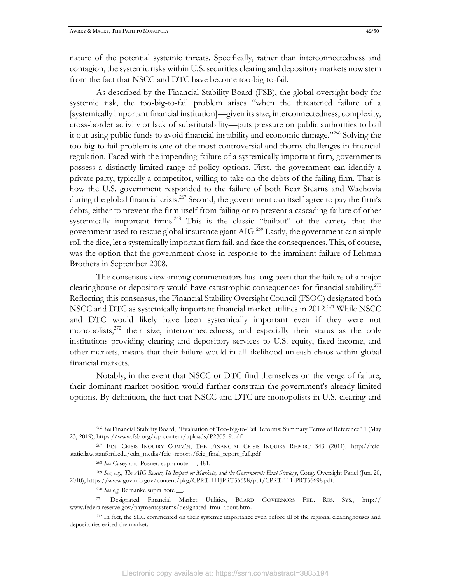nature of the potential systemic threats. Specifically, rather than interconnectedness and contagion, the systemic risks within U.S. securities clearing and depository markets now stem from the fact that NSCC and DTC have become too-big-to-fail.

As described by the Financial Stability Board (FSB), the global oversight body for systemic risk, the too-big-to-fail problem arises "when the threatened failure of a [systemically important financial institution]—given its size, interconnectedness, complexity, cross-border activity or lack of substitutability—puts pressure on public authorities to bail it out using public funds to avoid financial instability and economic damage."<sup>266</sup> Solving the too-big-to-fail problem is one of the most controversial and thorny challenges in financial regulation. Faced with the impending failure of a systemically important firm, governments possess a distinctly limited range of policy options. First, the government can identify a private party, typically a competitor, willing to take on the debts of the failing firm. That is how the U.S. government responded to the failure of both Bear Stearns and Wachovia during the global financial crisis.<sup>267</sup> Second, the government can itself agree to pay the firm's debts, either to prevent the firm itself from failing or to prevent a cascading failure of other systemically important firms.<sup>268</sup> This is the classic "bailout" of the variety that the government used to rescue global insurance giant AIG.<sup>269</sup> Lastly, the government can simply roll the dice, let a systemically important firm fail, and face the consequences. This, of course, was the option that the government chose in response to the imminent failure of Lehman Brothers in September 2008.

The consensus view among commentators has long been that the failure of a major clearinghouse or depository would have catastrophic consequences for financial stability.<sup>270</sup> Reflecting this consensus, the Financial Stability Oversight Council (FSOC) designated both NSCC and DTC as systemically important financial market utilities in 2012.<sup>271</sup> While NSCC and DTC would likely have been systemically important even if they were not monopolists,<sup>272</sup> their size, interconnectedness, and especially their status as the only institutions providing clearing and depository services to U.S. equity, fixed income, and other markets, means that their failure would in all likelihood unleash chaos within global financial markets.

Notably, in the event that NSCC or DTC find themselves on the verge of failure, their dominant market position would further constrain the government's already limited options. By definition, the fact that NSCC and DTC are monopolists in U.S. clearing and

<sup>266</sup> *See* Financial Stability Board, "Evaluation of Too-Big-to-Fail Reforms: Summary Terms of Reference" 1 (May 23, 2019), https://www.fsb.org/wp-content/uploads/P230519.pdf.

<sup>267</sup> FIN. CRISIS INQUIRY COMM'N, THE FINANCIAL CRISIS INQUIRY REPORT 343 (2011), http://fcicstatic.law.stanford.edu/cdn\_media/fcic -reports/fcic\_final\_report\_full.pdf

<sup>268</sup> *See* Casey and Posner, supra note \_\_, 481.

<sup>269</sup> *See, e.g.*, *The AIG Rescue, Its Impact on Markets, and the Governments Exit Strategy*, Cong. Oversight Panel (Jun. 20, 2010), https://www.govinfo.gov/content/pkg/CPRT-111JPRT56698/pdf/CPRT-111JPRT56698.pdf.

<sup>270</sup> *See e.g*. Bernanke supra note \_\_.

<sup>271</sup> Designated Financial Market Utilities, BOARD GOVERNORS FED. RES. SYS., http:// www.federalreserve.gov/paymentsystems/designated\_fmu\_about.htm.

<sup>272</sup> In fact, the SEC commented on their systemic importance even before all of the regional clearinghouses and depositories exited the market.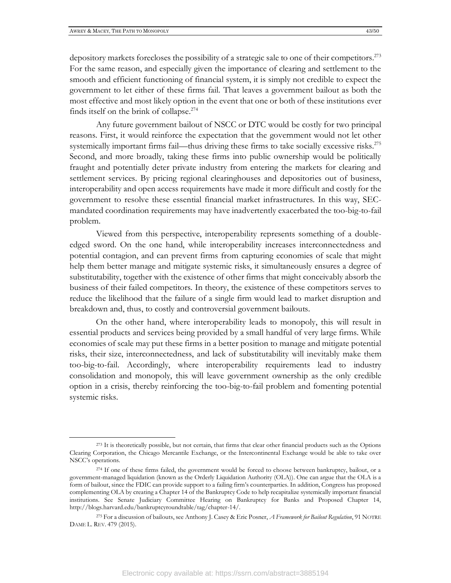depository markets forecloses the possibility of a strategic sale to one of their competitors. 273 For the same reason, and especially given the importance of clearing and settlement to the smooth and efficient functioning of financial system, it is simply not credible to expect the government to let either of these firms fail. That leaves a government bailout as both the most effective and most likely option in the event that one or both of these institutions ever finds itself on the brink of collapse.<sup>274</sup>

Any future government bailout of NSCC or DTC would be costly for two principal reasons. First, it would reinforce the expectation that the government would not let other systemically important firms fail—thus driving these firms to take socially excessive risks.<sup>275</sup> Second, and more broadly, taking these firms into public ownership would be politically fraught and potentially deter private industry from entering the markets for clearing and settlement services. By pricing regional clearinghouses and depositories out of business, interoperability and open access requirements have made it more difficult and costly for the government to resolve these essential financial market infrastructures. In this way, SECmandated coordination requirements may have inadvertently exacerbated the too-big-to-fail problem.

Viewed from this perspective, interoperability represents something of a doubleedged sword. On the one hand, while interoperability increases interconnectedness and potential contagion, and can prevent firms from capturing economies of scale that might help them better manage and mitigate systemic risks, it simultaneously ensures a degree of substitutability, together with the existence of other firms that might conceivably absorb the business of their failed competitors. In theory, the existence of these competitors serves to reduce the likelihood that the failure of a single firm would lead to market disruption and breakdown and, thus, to costly and controversial government bailouts.

On the other hand, where interoperability leads to monopoly, this will result in essential products and services being provided by a small handful of very large firms. While economies of scale may put these firms in a better position to manage and mitigate potential risks, their size, interconnectedness, and lack of substitutability will inevitably make them too-big-to-fail. Accordingly, where interoperability requirements lead to industry consolidation and monopoly, this will leave government ownership as the only credible option in a crisis, thereby reinforcing the too-big-to-fail problem and fomenting potential systemic risks.

<sup>&</sup>lt;sup>273</sup> It is theoretically possible, but not certain, that firms that clear other financial products such as the Options Clearing Corporation, the Chicago Mercantile Exchange, or the Intercontinental Exchange would be able to take over NSCC's operations.

<sup>274</sup> If one of these firms failed, the government would be forced to choose between bankruptcy, bailout, or a government-managed liquidation (known as the Orderly Liquidation Authority (OLA)). One can argue that the OLA is a form of bailout, since the FDIC can provide support to a failing firm's counterparties. In addition, Congress has proposed complementing OLA by creating a Chapter 14 of the Bankruptcy Code to help recapitalize systemically important financial institutions. See Senate Judiciary Committee Hearing on Bankruptcy for Banks and Proposed Chapter 14, http://blogs.harvard.edu/bankruptcyroundtable/tag/chapter-14/.

<sup>275</sup> For a discussion of bailouts, see Anthony J. Casey & Eric Posner, *A Framework for Bailout Regulation*, 91 NOTRE DAME L. REV. 479 (2015).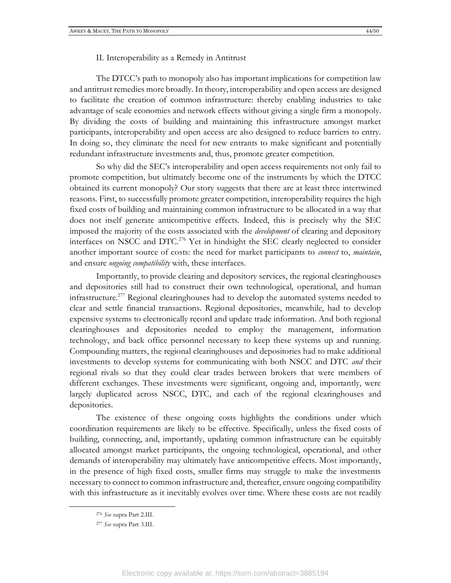II. Interoperability as a Remedy in Antitrust

The DTCC's path to monopoly also has important implications for competition law and antitrust remedies more broadly. In theory, interoperability and open access are designed to facilitate the creation of common infrastructure: thereby enabling industries to take advantage of scale economies and network effects without giving a single firm a monopoly. By dividing the costs of building and maintaining this infrastructure amongst market participants, interoperability and open access are also designed to reduce barriers to entry. In doing so, they eliminate the need for new entrants to make significant and potentially redundant infrastructure investments and, thus, promote greater competition.

So why did the SEC's interoperability and open access requirements not only fail to promote competition, but ultimately become one of the instruments by which the DTCC obtained its current monopoly? Our story suggests that there are at least three intertwined reasons. First, to successfully promote greater competition, interoperability requires the high fixed costs of building and maintaining common infrastructure to be allocated in a way that does not itself generate anticompetitive effects. Indeed, this is precisely why the SEC imposed the majority of the costs associated with the *development* of clearing and depository interfaces on NSCC and DTC.<sup>276</sup> Yet in hindsight the SEC clearly neglected to consider another important source of costs: the need for market participants to *connect* to, *maintain*, and ensure *ongoing compatibility* with, these interfaces.

Importantly, to provide clearing and depository services, the regional clearinghouses and depositories still had to construct their own technological, operational, and human infrastructure.<sup>277</sup> Regional clearinghouses had to develop the automated systems needed to clear and settle financial transactions. Regional depositories, meanwhile, had to develop expensive systems to electronically record and update trade information. And both regional clearinghouses and depositories needed to employ the management, information technology, and back office personnel necessary to keep these systems up and running. Compounding matters, the regional clearinghouses and depositories had to make additional investments to develop systems for communicating with both NSCC and DTC *and* their regional rivals so that they could clear trades between brokers that were members of different exchanges. These investments were significant, ongoing and, importantly, were largely duplicated across NSCC, DTC, and each of the regional clearinghouses and depositories.

The existence of these ongoing costs highlights the conditions under which coordination requirements are likely to be effective. Specifically, unless the fixed costs of building, connecting, and, importantly, updating common infrastructure can be equitably allocated amongst market participants, the ongoing technological, operational, and other demands of interoperability may ultimately have anticompetitive effects. Most importantly, in the presence of high fixed costs, smaller firms may struggle to make the investments necessary to connect to common infrastructure and, thereafter, ensure ongoing compatibility with this infrastructure as it inevitably evolves over time. Where these costs are not readily

<sup>276</sup> *See* supra Part 2.III.

<sup>277</sup> *See* supra Part 3.III.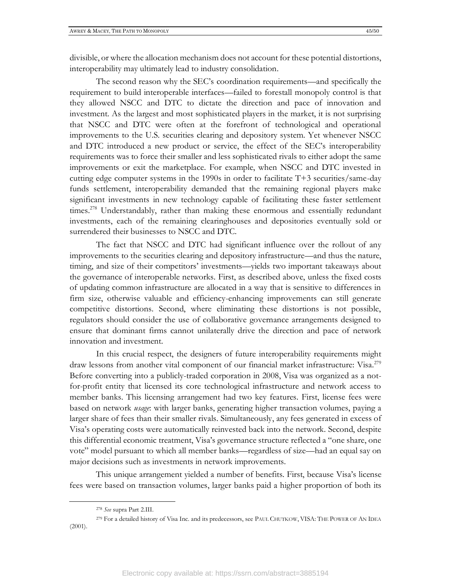divisible, or where the allocation mechanism does not account for these potential distortions, interoperability may ultimately lead to industry consolidation.

The second reason why the SEC's coordination requirements—and specifically the requirement to build interoperable interfaces—failed to forestall monopoly control is that they allowed NSCC and DTC to dictate the direction and pace of innovation and investment. As the largest and most sophisticated players in the market, it is not surprising that NSCC and DTC were often at the forefront of technological and operational improvements to the U.S. securities clearing and depository system. Yet whenever NSCC and DTC introduced a new product or service, the effect of the SEC's interoperability requirements was to force their smaller and less sophisticated rivals to either adopt the same improvements or exit the marketplace. For example, when NSCC and DTC invested in cutting edge computer systems in the 1990s in order to facilitate T+3 securities/same-day funds settlement, interoperability demanded that the remaining regional players make significant investments in new technology capable of facilitating these faster settlement times.<sup>278</sup> Understandably, rather than making these enormous and essentially redundant investments, each of the remaining clearinghouses and depositories eventually sold or surrendered their businesses to NSCC and DTC.

The fact that NSCC and DTC had significant influence over the rollout of any improvements to the securities clearing and depository infrastructure—and thus the nature, timing, and size of their competitors' investments—yields two important takeaways about the governance of interoperable networks. First, as described above, unless the fixed costs of updating common infrastructure are allocated in a way that is sensitive to differences in firm size, otherwise valuable and efficiency-enhancing improvements can still generate competitive distortions. Second, where eliminating these distortions is not possible, regulators should consider the use of collaborative governance arrangements designed to ensure that dominant firms cannot unilaterally drive the direction and pace of network innovation and investment.

In this crucial respect, the designers of future interoperability requirements might draw lessons from another vital component of our financial market infrastructure: Visa.<sup>279</sup> Before converting into a publicly-traded corporation in 2008, Visa was organized as a notfor-profit entity that licensed its core technological infrastructure and network access to member banks. This licensing arrangement had two key features. First, license fees were based on network *usage*: with larger banks, generating higher transaction volumes, paying a larger share of fees than their smaller rivals. Simultaneously, any fees generated in excess of Visa's operating costs were automatically reinvested back into the network. Second, despite this differential economic treatment, Visa's governance structure reflected a "one share, one vote" model pursuant to which all member banks—regardless of size—had an equal say on major decisions such as investments in network improvements.

This unique arrangement yielded a number of benefits. First, because Visa's license fees were based on transaction volumes, larger banks paid a higher proportion of both its

<sup>278</sup> *See* supra Part 2.III.

<sup>279</sup> For a detailed history of Visa Inc. and its predecessors, see PAUL CHUTKOW, VISA: THE POWER OF AN IDEA (2001).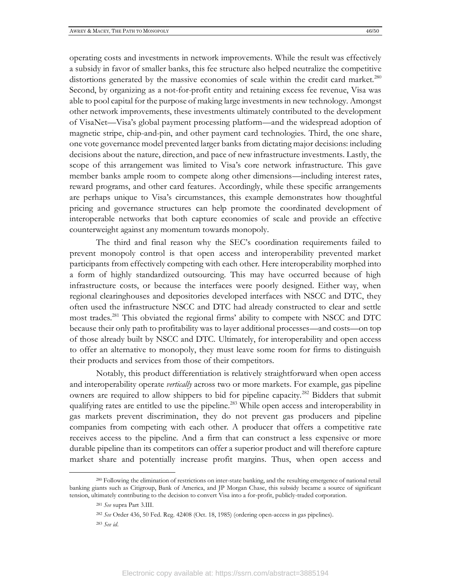operating costs and investments in network improvements. While the result was effectively a subsidy in favor of smaller banks, this fee structure also helped neutralize the competitive distortions generated by the massive economies of scale within the credit card market.<sup>280</sup> Second, by organizing as a not-for-profit entity and retaining excess fee revenue, Visa was able to pool capital for the purpose of making large investments in new technology. Amongst other network improvements, these investments ultimately contributed to the development of VisaNet—Visa's global payment processing platform—and the widespread adoption of magnetic stripe, chip-and-pin, and other payment card technologies. Third, the one share, one vote governance model prevented larger banks from dictating major decisions: including decisions about the nature, direction, and pace of new infrastructure investments. Lastly, the scope of this arrangement was limited to Visa's core network infrastructure. This gave member banks ample room to compete along other dimensions—including interest rates, reward programs, and other card features. Accordingly, while these specific arrangements are perhaps unique to Visa's circumstances, this example demonstrates how thoughtful pricing and governance structures can help promote the coordinated development of interoperable networks that both capture economies of scale and provide an effective counterweight against any momentum towards monopoly.

The third and final reason why the SEC's coordination requirements failed to prevent monopoly control is that open access and interoperability prevented market participants from effectively competing with each other. Here interoperability morphed into a form of highly standardized outsourcing. This may have occurred because of high infrastructure costs, or because the interfaces were poorly designed. Either way, when regional clearinghouses and depositories developed interfaces with NSCC and DTC, they often used the infrastructure NSCC and DTC had already constructed to clear and settle most trades.<sup>281</sup> This obviated the regional firms' ability to compete with NSCC and DTC because their only path to profitability was to layer additional processes—and costs—on top of those already built by NSCC and DTC. Ultimately, for interoperability and open access to offer an alternative to monopoly, they must leave some room for firms to distinguish their products and services from those of their competitors.

Notably, this product differentiation is relatively straightforward when open access and interoperability operate *vertically* across two or more markets. For example, gas pipeline owners are required to allow shippers to bid for pipeline capacity.<sup>282</sup> Bidders that submit qualifying rates are entitled to use the pipeline.<sup>283</sup> While open access and interoperability in gas markets prevent discrimination, they do not prevent gas producers and pipeline companies from competing with each other. A producer that offers a competitive rate receives access to the pipeline. And a firm that can construct a less expensive or more durable pipeline than its competitors can offer a superior product and will therefore capture market share and potentially increase profit margins. Thus, when open access and

<sup>280</sup> Following the elimination of restrictions on inter-state banking, and the resulting emergence of national retail banking giants such as Citigroup, Bank of America, and JP Morgan Chase, this subsidy became a source of significant tension, ultimately contributing to the decision to convert Visa into a for-profit, publicly-traded corporation.

<sup>281</sup> *See* supra Part 3.III.

<sup>282</sup> *See* Order 436, 50 Fed. Reg. 42408 (Oct. 18, 1985) (ordering open-access in gas pipelines).

<sup>283</sup> *See id*.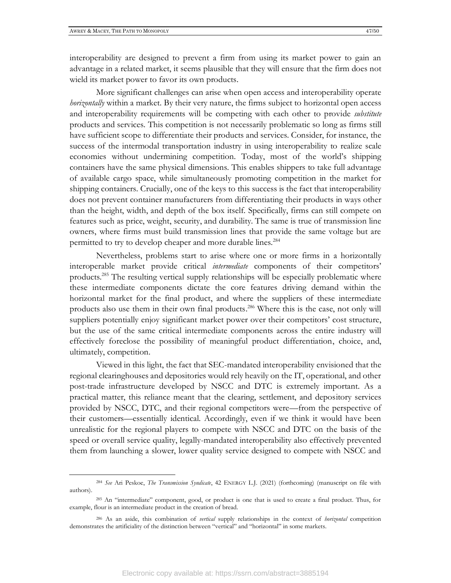interoperability are designed to prevent a firm from using its market power to gain an advantage in a related market, it seems plausible that they will ensure that the firm does not wield its market power to favor its own products.

More significant challenges can arise when open access and interoperability operate *horizontally* within a market. By their very nature, the firms subject to horizontal open access and interoperability requirements will be competing with each other to provide *substitute* products and services. This competition is not necessarily problematic so long as firms still have sufficient scope to differentiate their products and services. Consider, for instance, the success of the intermodal transportation industry in using interoperability to realize scale economies without undermining competition. Today, most of the world's shipping containers have the same physical dimensions. This enables shippers to take full advantage of available cargo space, while simultaneously promoting competition in the market for shipping containers. Crucially, one of the keys to this success is the fact that interoperability does not prevent container manufacturers from differentiating their products in ways other than the height, width, and depth of the box itself. Specifically, firms can still compete on features such as price, weight, security, and durability. The same is true of transmission line owners, where firms must build transmission lines that provide the same voltage but are permitted to try to develop cheaper and more durable lines.<sup>284</sup>

Nevertheless, problems start to arise where one or more firms in a horizontally interoperable market provide critical *intermediate* components of their competitors' products.<sup>285</sup> The resulting vertical supply relationships will be especially problematic where these intermediate components dictate the core features driving demand within the horizontal market for the final product, and where the suppliers of these intermediate products also use them in their own final products.<sup>286</sup> Where this is the case, not only will suppliers potentially enjoy significant market power over their competitors' cost structure, but the use of the same critical intermediate components across the entire industry will effectively foreclose the possibility of meaningful product differentiation, choice, and, ultimately, competition.

Viewed in this light, the fact that SEC-mandated interoperability envisioned that the regional clearinghouses and depositories would rely heavily on the IT, operational, and other post-trade infrastructure developed by NSCC and DTC is extremely important. As a practical matter, this reliance meant that the clearing, settlement, and depository services provided by NSCC, DTC, and their regional competitors were—from the perspective of their customers—essentially identical. Accordingly, even if we think it would have been unrealistic for the regional players to compete with NSCC and DTC on the basis of the speed or overall service quality, legally-mandated interoperability also effectively prevented them from launching a slower, lower quality service designed to compete with NSCC and

<sup>284</sup> *See* Ari Peskoe, *The Transmission Syndicate*, 42 ENERGY L.J. (2021) (forthcoming) (manuscript on file with authors).

<sup>285</sup> An "intermediate" component, good, or product is one that is used to create a final product. Thus, for example, flour is an intermediate product in the creation of bread.

<sup>286</sup> As an aside, this combination of *vertical* supply relationships in the context of *horizontal* competition demonstrates the artificiality of the distinction between "vertical" and "horizontal" in some markets.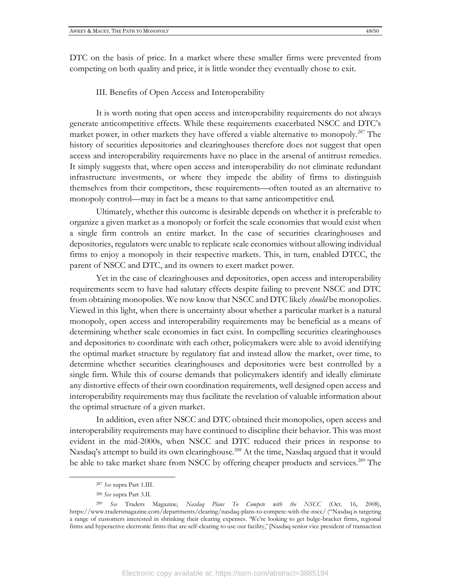DTC on the basis of price. In a market where these smaller firms were prevented from competing on both quality and price, it is little wonder they eventually chose to exit.

III. Benefits of Open Access and Interoperability

It is worth noting that open access and interoperability requirements do not always generate anticompetitive effects. While these requirements exacerbated NSCC and DTC's market power, in other markets they have offered a viable alternative to monopoly.<sup>287</sup> The history of securities depositories and clearinghouses therefore does not suggest that open access and interoperability requirements have no place in the arsenal of antitrust remedies. It simply suggests that, where open access and interoperability do not eliminate redundant infrastructure investments, or where they impede the ability of firms to distinguish themselves from their competitors, these requirements—often touted as an alternative to monopoly control—may in fact be a means to that same anticompetitive end.

Ultimately, whether this outcome is desirable depends on whether it is preferable to organize a given market as a monopoly or forfeit the scale economies that would exist when a single firm controls an entire market. In the case of securities clearinghouses and depositories, regulators were unable to replicate scale economies without allowing individual firms to enjoy a monopoly in their respective markets. This, in turn, enabled DTCC, the parent of NSCC and DTC, and its owners to exert market power.

Yet in the case of clearinghouses and depositories, open access and interoperability requirements seem to have had salutary effects despite failing to prevent NSCC and DTC from obtaining monopolies. We now know that NSCC and DTC likely *should* be monopolies. Viewed in this light, when there is uncertainty about whether a particular market is a natural monopoly, open access and interoperability requirements may be beneficial as a means of determining whether scale economies in fact exist. In compelling securities clearinghouses and depositories to coordinate with each other, policymakers were able to avoid identifying the optimal market structure by regulatory fiat and instead allow the market, over time, to determine whether securities clearinghouses and depositories were best controlled by a single firm. While this of course demands that policymakers identify and ideally eliminate any distortive effects of their own coordination requirements, well designed open access and interoperability requirements may thus facilitate the revelation of valuable information about the optimal structure of a given market.

In addition, even after NSCC and DTC obtained their monopolies, open access and interoperability requirements may have continued to discipline their behavior. This was most evident in the mid-2000s, when NSCC and DTC reduced their prices in response to Nasdaq's attempt to build its own clearinghouse.<sup>288</sup> At the time, Nasdaq argued that it would be able to take market share from NSCC by offering cheaper products and services.<sup>289</sup> The

<sup>287</sup> *See* supra Part 1.III.

<sup>288</sup> *See* supra Part 3.II.

<sup>289</sup> *See* Traders Magazine, *Nasdaq Plans To Compete with the NSCC* (Oct. 16, 2008), https://www.tradersmagazine.com/departments/clearing/nasdaq-plans-to-compete-with-the-nscc/ ("Nasdaq is targeting a range of customers interested in shrinking their clearing expenses. 'We're looking to get bulge-bracket firms, regional firms and hyperactive electronic firms that are self-clearing to use our facility,' [Nasdaq senior vice president of transaction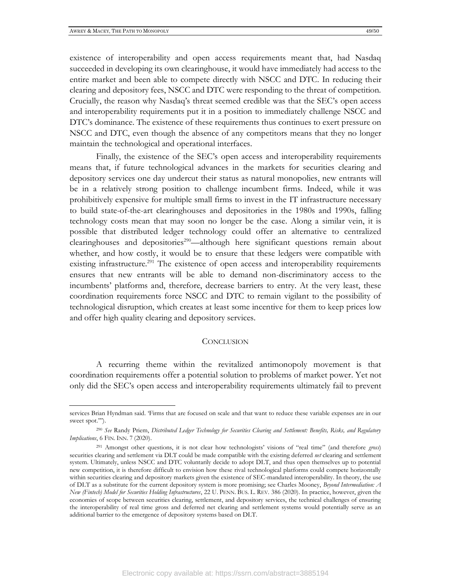existence of interoperability and open access requirements meant that, had Nasdaq succeeded in developing its own clearinghouse, it would have immediately had access to the entire market and been able to compete directly with NSCC and DTC. In reducing their clearing and depository fees, NSCC and DTC were responding to the threat of competition. Crucially, the reason why Nasdaq's threat seemed credible was that the SEC's open access and interoperability requirements put it in a position to immediately challenge NSCC and DTC's dominance. The existence of these requirements thus continues to exert pressure on NSCC and DTC, even though the absence of any competitors means that they no longer maintain the technological and operational interfaces.

Finally, the existence of the SEC's open access and interoperability requirements means that, if future technological advances in the markets for securities clearing and depository services one day undercut their status as natural monopolies, new entrants will be in a relatively strong position to challenge incumbent firms. Indeed, while it was prohibitively expensive for multiple small firms to invest in the IT infrastructure necessary to build state-of-the-art clearinghouses and depositories in the 1980s and 1990s, falling technology costs mean that may soon no longer be the case. Along a similar vein, it is possible that distributed ledger technology could offer an alternative to centralized clearinghouses and depositories<sup>290</sup>—although here significant questions remain about whether, and how costly, it would be to ensure that these ledgers were compatible with existing infrastructure.<sup>291</sup> The existence of open access and interoperability requirements ensures that new entrants will be able to demand non-discriminatory access to the incumbents' platforms and, therefore, decrease barriers to entry. At the very least, these coordination requirements force NSCC and DTC to remain vigilant to the possibility of technological disruption, which creates at least some incentive for them to keep prices low and offer high quality clearing and depository services.

#### **CONCLUSION**

A recurring theme within the revitalized antimonopoly movement is that coordination requirements offer a potential solution to problems of market power. Yet not only did the SEC's open access and interoperability requirements ultimately fail to prevent

services Brian Hyndman said. 'Firms that are focused on scale and that want to reduce these variable expenses are in our sweet spot.'").

<sup>290</sup> *See* Randy Priem, *Distributed Ledger Technology for Securities Clearing and Settlement: Benefits, Risks, and Regulatory Implications*, 6 FIN. INN. 7 (2020).

<sup>291</sup> Amongst other questions, it is not clear how technologists' visions of "real time" (and therefore *gross*) securities clearing and settlement via DLT could be made compatible with the existing deferred *net* clearing and settlement system. Ultimately, unless NSCC and DTC voluntarily decide to adopt DLT, and thus open themselves up to potential new competition, it is therefore difficult to envision how these rival technological platforms could compete horizontally within securities clearing and depository markets given the existence of SEC-mandated interoperability. In theory, the use of DLT as a substitute for the current depository system is more promising; see Charles Mooney, *Beyond Intermediation: A New (Fintech) Model for Securities Holding Infrastructures*, 22 U. PENN. BUS. L. REV. 386 (2020). In practice, however, given the economies of scope between securities clearing, settlement, and depository services, the technical challenges of ensuring the interoperability of real time gross and deferred net clearing and settlement systems would potentially serve as an additional barrier to the emergence of depository systems based on DLT.